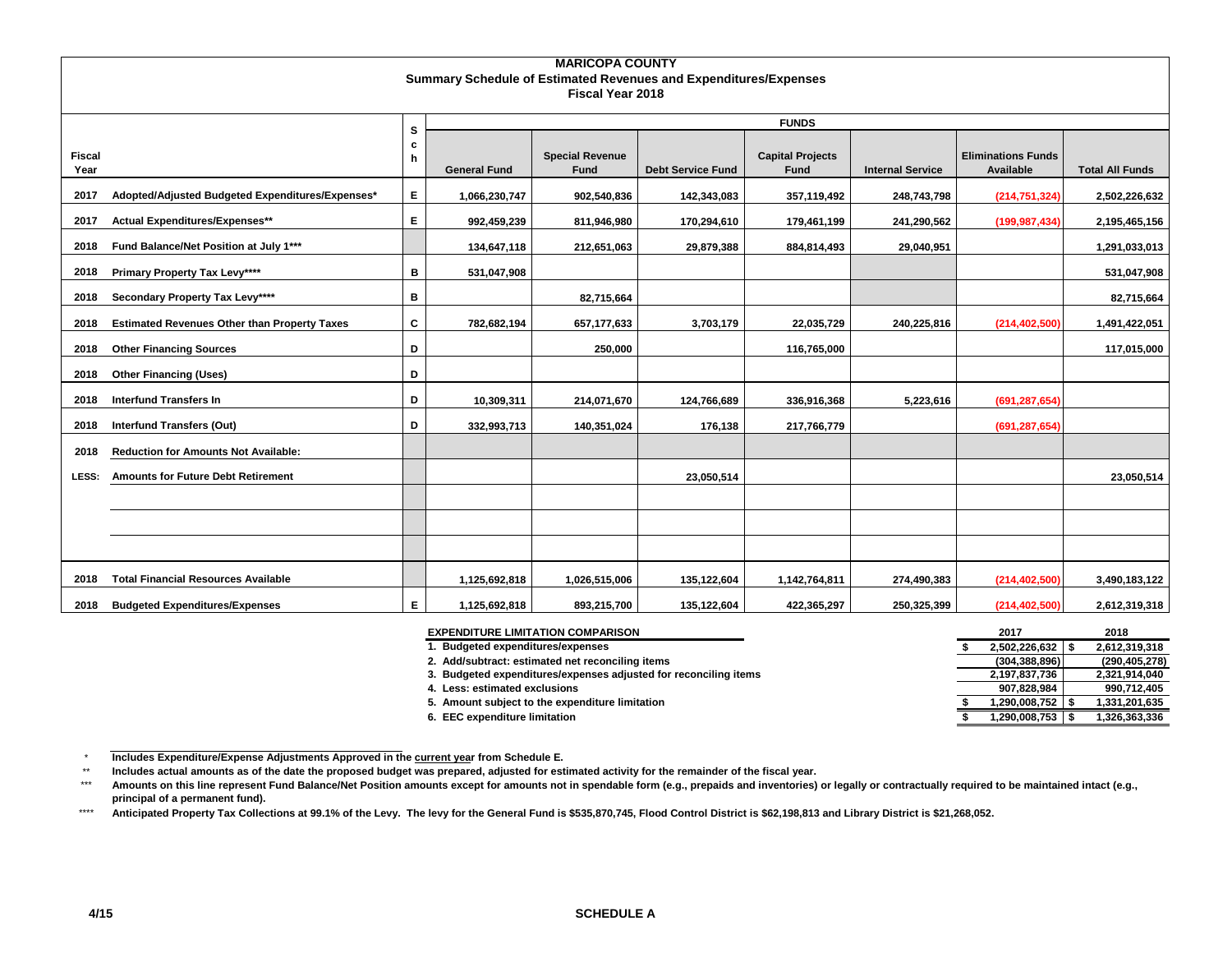|                       | <b>MARICOPA COUNTY</b>                                                                             |    |                     |                                |                          |                                 |                         |                                        |                        |  |  |  |  |
|-----------------------|----------------------------------------------------------------------------------------------------|----|---------------------|--------------------------------|--------------------------|---------------------------------|-------------------------|----------------------------------------|------------------------|--|--|--|--|
|                       | <b>Summary Schedule of Estimated Revenues and Expenditures/Expenses</b><br><b>Fiscal Year 2018</b> |    |                     |                                |                          |                                 |                         |                                        |                        |  |  |  |  |
|                       |                                                                                                    |    |                     |                                |                          |                                 |                         |                                        |                        |  |  |  |  |
|                       |                                                                                                    | s  |                     |                                |                          | <b>FUNDS</b>                    |                         |                                        |                        |  |  |  |  |
|                       |                                                                                                    | c  |                     |                                |                          |                                 |                         |                                        |                        |  |  |  |  |
| <b>Fiscal</b><br>Year |                                                                                                    | h  | <b>General Fund</b> | <b>Special Revenue</b><br>Fund | <b>Debt Service Fund</b> | <b>Capital Projects</b><br>Fund | <b>Internal Service</b> | <b>Eliminations Funds</b><br>Available | <b>Total All Funds</b> |  |  |  |  |
| 2017                  | Adopted/Adjusted Budgeted Expenditures/Expenses*                                                   | E. | 1,066,230,747       | 902,540,836                    | 142,343,083              | 357,119,492                     | 248,743,798             | (214, 751, 324)                        | 2,502,226,632          |  |  |  |  |
| 2017                  | Actual Expenditures/Expenses**                                                                     | Е  | 992,459,239         | 811,946,980                    | 170,294,610              | 179,461,199                     | 241,290,562             | (199, 987, 434)                        | 2,195,465,156          |  |  |  |  |
| 2018                  | Fund Balance/Net Position at July 1***                                                             |    | 134,647,118         | 212,651,063                    | 29,879,388               | 884,814,493                     | 29,040,951              |                                        | 1,291,033,013          |  |  |  |  |
| 2018                  | Primary Property Tax Levy****                                                                      | в  | 531,047,908         |                                |                          |                                 |                         |                                        | 531,047,908            |  |  |  |  |
| 2018                  | Secondary Property Tax Levy****                                                                    | в  |                     | 82,715,664                     |                          |                                 |                         |                                        | 82,715,664             |  |  |  |  |
| 2018                  | <b>Estimated Revenues Other than Property Taxes</b>                                                | C  | 782,682,194         | 657, 177, 633                  | 3,703,179                | 22,035,729                      | 240,225,816             | (214, 402, 500)                        | 1,491,422,051          |  |  |  |  |
| 2018                  | <b>Other Financing Sources</b>                                                                     | D  |                     | 250,000                        |                          | 116,765,000                     |                         |                                        | 117,015,000            |  |  |  |  |
| 2018                  | <b>Other Financing (Uses)</b>                                                                      | D  |                     |                                |                          |                                 |                         |                                        |                        |  |  |  |  |
| 2018                  | <b>Interfund Transfers In</b>                                                                      | D  | 10,309,311          | 214,071,670                    | 124,766,689              | 336,916,368                     | 5,223,616               | (691, 287, 654)                        |                        |  |  |  |  |
| 2018                  | <b>Interfund Transfers (Out)</b>                                                                   | D  | 332,993,713         | 140,351,024                    | 176,138                  | 217,766,779                     |                         | (691, 287, 654)                        |                        |  |  |  |  |
| 2018                  | <b>Reduction for Amounts Not Available:</b>                                                        |    |                     |                                |                          |                                 |                         |                                        |                        |  |  |  |  |
| LESS:                 | <b>Amounts for Future Debt Retirement</b>                                                          |    |                     |                                | 23,050,514               |                                 |                         |                                        | 23,050,514             |  |  |  |  |
|                       |                                                                                                    |    |                     |                                |                          |                                 |                         |                                        |                        |  |  |  |  |
|                       |                                                                                                    |    |                     |                                |                          |                                 |                         |                                        |                        |  |  |  |  |
|                       |                                                                                                    |    |                     |                                |                          |                                 |                         |                                        |                        |  |  |  |  |
| 2018                  | <b>Total Financial Resources Available</b>                                                         |    | 1,125,692,818       | 1,026,515,006                  | 135,122,604              | 1,142,764,811                   | 274,490,383             | (214, 402, 500)                        | 3,490,183,122          |  |  |  |  |
| 2018                  | <b>Budgeted Expenditures/Expenses</b>                                                              | E. | 1,125,692,818       | 893,215,700                    | 135,122,604              | 422,365,297                     | 250,325,399             | (214, 402, 500)                        | 2,612,319,318          |  |  |  |  |

| <b>EXPENDITURE LIMITATION COMPARISON</b>                         | 2017            | 2018            |
|------------------------------------------------------------------|-----------------|-----------------|
| <b>Budgeted expenditures/expenses</b>                            | 2.502.226.632   | 2,612,319,318   |
| 2. Add/subtract: estimated net reconciling items                 | (304, 388, 896) | (290, 405, 278) |
| 3. Budgeted expenditures/expenses adjusted for reconciling items | 2,197,837,736   | 2,321,914,040   |
| 4. Less: estimated exclusions                                    | 907.828.984     | 990,712,405     |
| 5. Amount subject to the expenditure limitation                  | .290,008,752    | 1,331,201,635   |
| 6. EEC expenditure limitation                                    | 290,008,753, ا  | 1,326,363,336   |

 $\star$ **Includes Expenditure/Expense Adjustments Approved in the current year from Schedule E.** 

\*\* **Includes actual amounts as of the date the proposed budget was prepared, adjusted for estimated activity for the remainder of the fiscal year.**

\*\*\* **Amounts on this line represent Fund Balance/Net Position amounts except for amounts not in spendable form (e.g., prepaids and inventories) or legally or contractually required to be maintained intact (e.g., principal of a permanent fund).**

\*\*\*\* Anticipated Property Tax Collections at 99.1% of the Levy. The levy for the General Fund is \$535,870,745, Flood Control District is \$62,198,813 and Library District is \$21,268,052.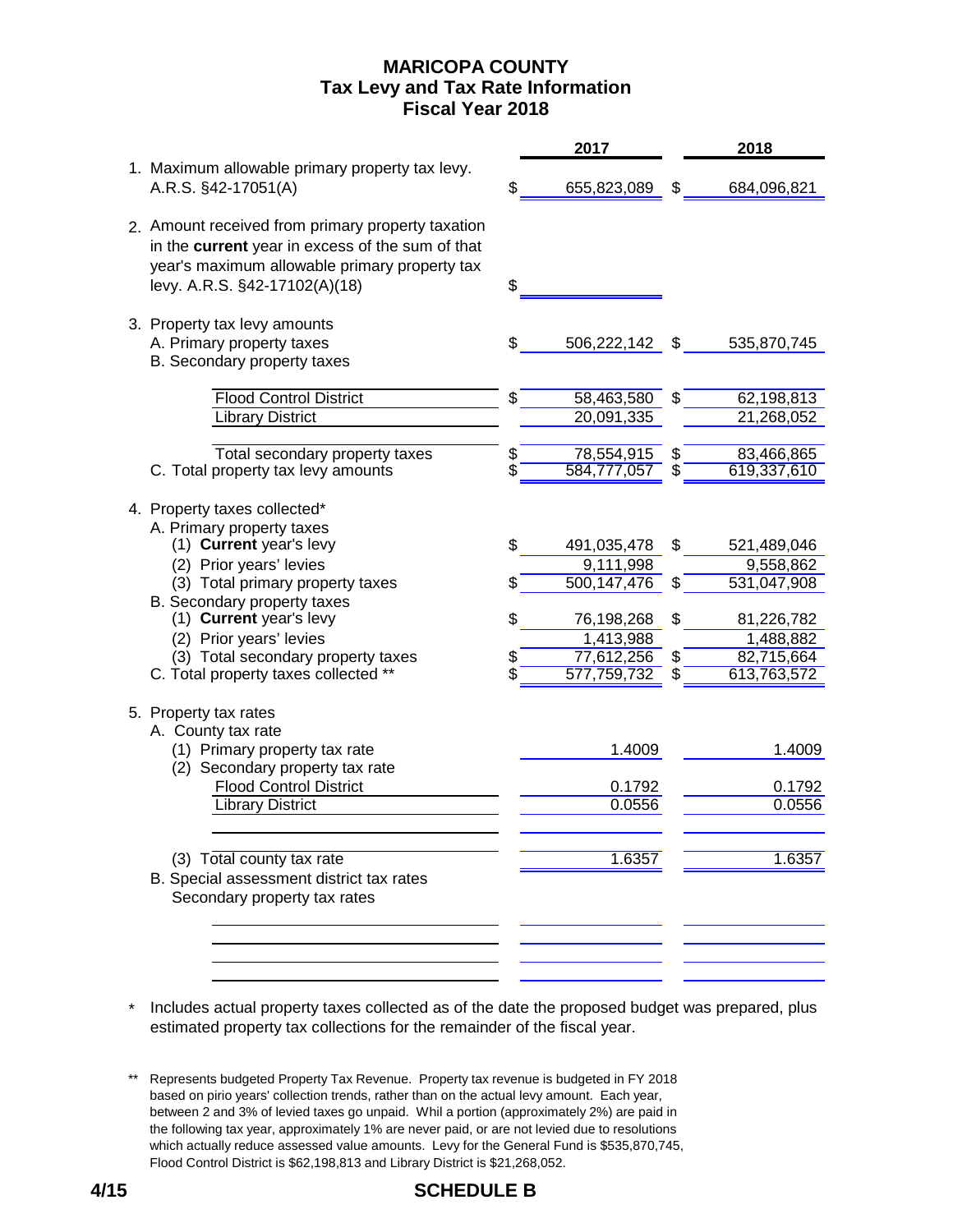# **MARICOPA COUNTY Fiscal Year 2018 Tax Levy and Tax Rate Information**

|                                                                                                                                                                                         |    | 2017                      |    | 2018                      |
|-----------------------------------------------------------------------------------------------------------------------------------------------------------------------------------------|----|---------------------------|----|---------------------------|
| 1. Maximum allowable primary property tax levy.<br>A.R.S. §42-17051(A)                                                                                                                  |    | 655,823,089               | £. | 684,096,821               |
| 2. Amount received from primary property taxation<br>in the current year in excess of the sum of that<br>year's maximum allowable primary property tax<br>levy. A.R.S. §42-17102(A)(18) | \$ |                           |    |                           |
| 3. Property tax levy amounts<br>A. Primary property taxes<br>B. Secondary property taxes                                                                                                |    | 506,222,142               | \$ | 535,870,745               |
| <b>Flood Control District</b><br><b>Library District</b>                                                                                                                                | \$ | 58,463,580<br>20,091,335  | \$ | 62,198,813<br>21,268,052  |
| Total secondary property taxes<br>C. Total property tax levy amounts                                                                                                                    |    | 78,554,915<br>584,777,057 | \$ | 83,466,865<br>619,337,610 |
| 4. Property taxes collected*<br>A. Primary property taxes<br>(1) Current year's levy                                                                                                    | S. | 491,035,478               | \$ | 521,489,046               |
| (2) Prior years' levies<br>(3) Total primary property taxes                                                                                                                             |    | 9,111,998<br>500,147,476  |    | 9,558,862<br>531,047,908  |
| B. Secondary property taxes<br>(1) Current year's levy<br>(2) Prior years' levies                                                                                                       |    | 76,198,268<br>1,413,988   | S  | 81,226,782<br>1,488,882   |
| (3) Total secondary property taxes<br>C. Total property taxes collected **                                                                                                              |    | 77,612,256<br>577,759,732 |    | 82,715,664<br>613,763,572 |
| 5. Property tax rates<br>A. County tax rate<br>(1) Primary property tax rate                                                                                                            |    | 1.4009                    |    | 1.4009                    |
| (2) Secondary property tax rate<br><b>Flood Control District</b><br><b>Library District</b>                                                                                             |    | 0.1792<br>0.0556          |    | 0.1792<br>0.0556          |
| (3) Total county tax rate                                                                                                                                                               |    | 1.6357                    |    | 1.6357                    |
| B. Special assessment district tax rates<br>Secondary property tax rates                                                                                                                |    |                           |    |                           |
|                                                                                                                                                                                         |    |                           |    |                           |

\* Includes actual property taxes collected as of the date the proposed budget was prepared, plus estimated property tax collections for the remainder of the fiscal year.

<sup>\*\*</sup> Represents budgeted Property Tax Revenue. Property tax revenue is budgeted in FY 2018 based on pirio years' collection trends, rather than on the actual levy amount. Each year, between 2 and 3% of levied taxes go unpaid. Whil a portion (approximately 2%) are paid in the following tax year, approximately 1% are never paid, or are not levied due to resolutions which actually reduce assessed value amounts. Levy for the General Fund is \$535,870,745, Flood Control District is \$62,198,813 and Library District is \$21,268,052.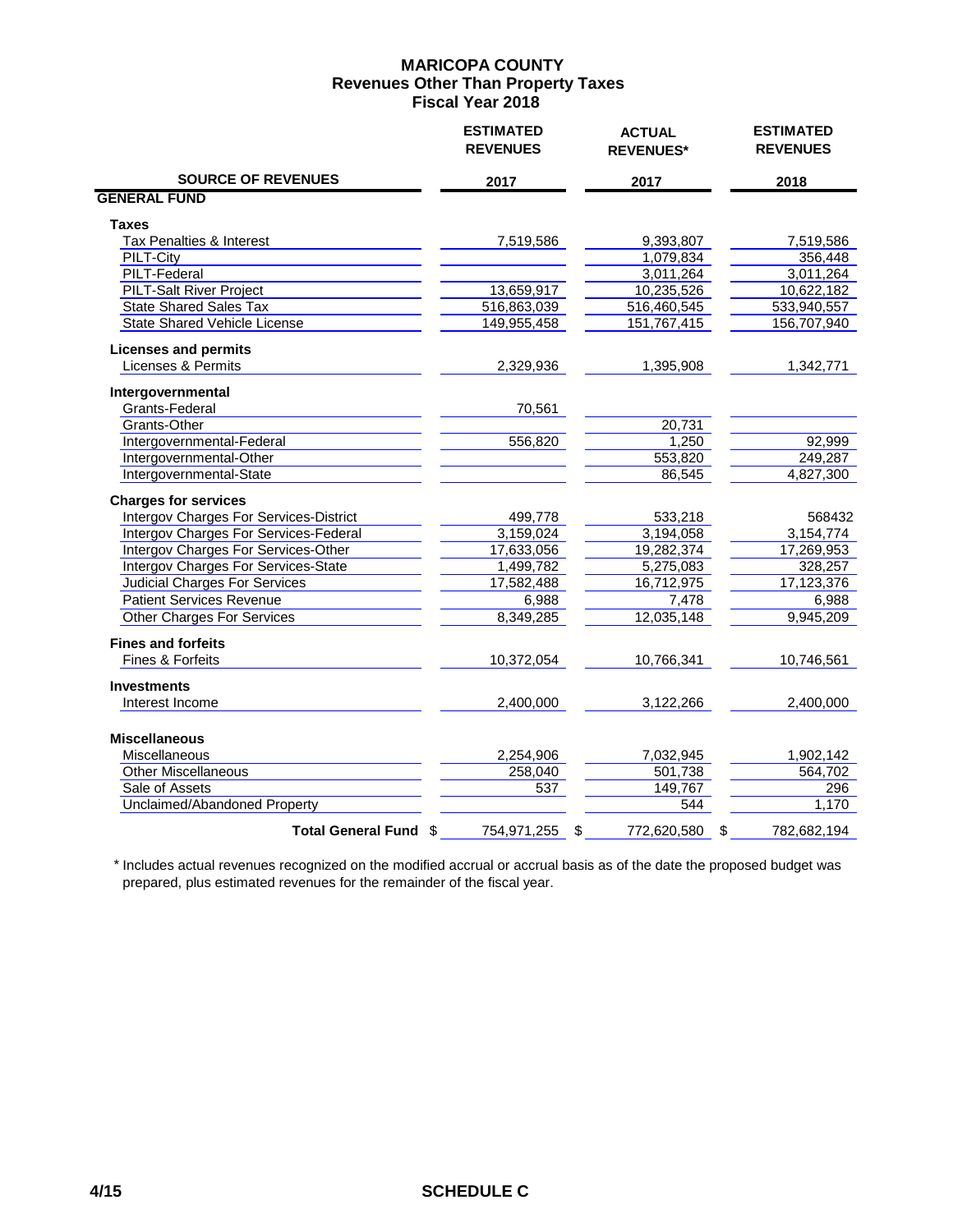|                                              | <b>ESTIMATED</b><br><b>REVENUES</b> | <b>ACTUAL</b><br><b>REVENUES*</b> | <b>ESTIMATED</b><br><b>REVENUES</b> |
|----------------------------------------------|-------------------------------------|-----------------------------------|-------------------------------------|
| <b>SOURCE OF REVENUES</b>                    | 2017                                | 2017                              | 2018                                |
| <b>GENERAL FUND</b>                          |                                     |                                   |                                     |
| Taxes                                        |                                     |                                   |                                     |
| Tax Penalties & Interest                     | 7,519,586                           | 9,393,807                         | 7,519,586                           |
| PILT-City                                    |                                     | 1,079,834                         | 356,448                             |
| <b>PILT-Federal</b>                          |                                     | 3,011,264                         | 3,011,264                           |
| PILT-Salt River Project                      | 13,659,917                          | 10,235,526                        | 10,622,182                          |
| <b>State Shared Sales Tax</b>                | 516,863,039                         | 516,460,545                       | 533,940,557                         |
| State Shared Vehicle License                 | 149,955,458                         | 151,767,415                       | 156,707,940                         |
| <b>Licenses and permits</b>                  |                                     |                                   |                                     |
| Licenses & Permits                           | 2.329.936                           | 1,395,908                         | 1,342,771                           |
| Intergovernmental                            |                                     |                                   |                                     |
| Grants-Federal                               | 70,561                              |                                   |                                     |
| Grants-Other                                 |                                     | 20,731                            |                                     |
| Intergovernmental-Federal                    | 556,820                             | 1,250                             | 92,999                              |
| Intergovernmental-Other                      |                                     | 553,820                           | 249,287                             |
| Intergovernmental-State                      |                                     | 86,545                            | 4,827,300                           |
| <b>Charges for services</b>                  |                                     |                                   |                                     |
| Intergov Charges For Services-District       | 499,778                             | 533,218                           | 568432                              |
| <b>Intergov Charges For Services-Federal</b> | 3,159,024                           | 3,194,058                         | 3,154,774                           |
| Intergov Charges For Services-Other          | 17,633,056                          | 19,282,374                        | 17,269,953                          |
| <b>Intergov Charges For Services-State</b>   | 1,499,782                           | 5,275,083                         | 328,257                             |
| <b>Judicial Charges For Services</b>         | 17,582,488                          | 16,712,975                        | 17,123,376                          |
| <b>Patient Services Revenue</b>              | 6,988                               | 7,478                             | 6,988                               |
| <b>Other Charges For Services</b>            | 8,349,285                           | 12,035,148                        | 9,945,209                           |
| <b>Fines and forfeits</b>                    |                                     |                                   |                                     |
| Fines & Forfeits                             | 10,372,054                          | 10,766,341                        | 10,746,561                          |
| <b>Investments</b>                           |                                     |                                   |                                     |
| Interest Income                              | 2,400,000                           | 3,122,266                         | 2,400,000                           |
| <b>Miscellaneous</b>                         |                                     |                                   |                                     |
| Miscellaneous                                | 2,254,906                           |                                   | 1,902,142                           |
| <b>Other Miscellaneous</b>                   | 258,040                             | 7,032,945<br>501,738              | 564,702                             |
| Sale of Assets                               | 537                                 | 149,767                           | 296                                 |
| <b>Unclaimed/Abandoned Property</b>          |                                     |                                   | 1,170                               |
|                                              |                                     | 544                               |                                     |
| Total General Fund \$                        | 754,971,255                         | 772,620,580<br>\$                 | \$<br>782,682,194                   |

 \* Includes actual revenues recognized on the modified accrual or accrual basis as of the date the proposed budget was prepared, plus estimated revenues for the remainder of the fiscal year.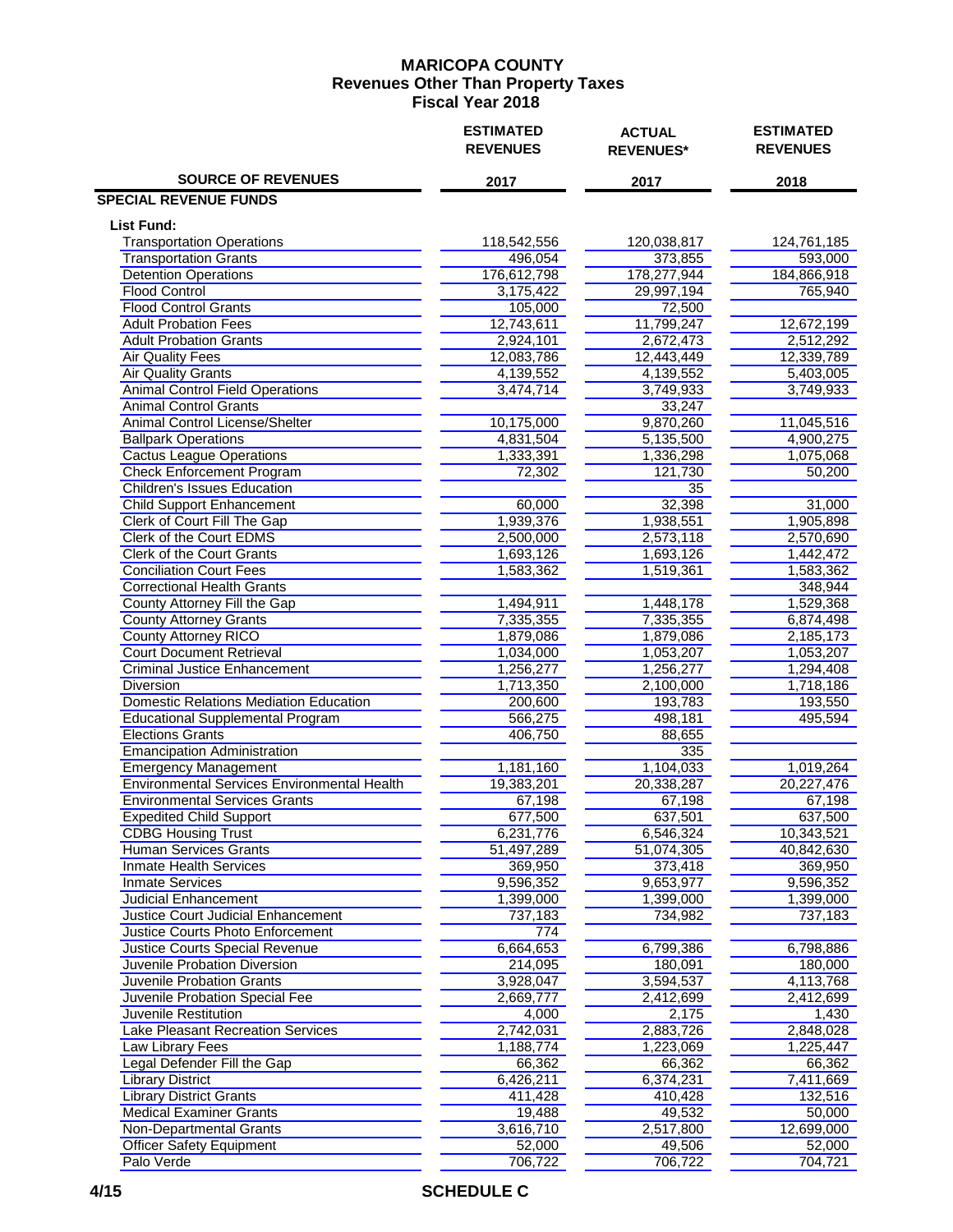|                                                    | <b>ESTIMATED</b><br><b>REVENUES</b> | <b>ACTUAL</b><br><b>REVENUES*</b> | <b>ESTIMATED</b><br><b>REVENUES</b> |  |  |
|----------------------------------------------------|-------------------------------------|-----------------------------------|-------------------------------------|--|--|
| <b>SOURCE OF REVENUES</b>                          | 2017                                | 2017                              | 2018                                |  |  |
| <b>SPECIAL REVENUE FUNDS</b>                       |                                     |                                   |                                     |  |  |
| <b>List Fund:</b>                                  |                                     |                                   |                                     |  |  |
| <b>Transportation Operations</b>                   | 118,542,556                         | 120,038,817                       | 124,761,185                         |  |  |
| <b>Transportation Grants</b>                       | 496,054                             | 373,855                           | 593,000                             |  |  |
| <b>Detention Operations</b>                        | 176,612,798                         | 178,277,944                       | 184,866,918                         |  |  |
| <b>Flood Control</b>                               | 3,175,422                           | 29,997,194                        | 765,940                             |  |  |
| <b>Flood Control Grants</b>                        | 105,000                             | 72,500                            |                                     |  |  |
| <b>Adult Probation Fees</b>                        | 12,743,611                          | 11,799,247                        | 12,672,199                          |  |  |
| <b>Adult Probation Grants</b>                      | 2,924,101                           | 2,672,473                         | 2,512,292                           |  |  |
| <b>Air Quality Fees</b>                            | 12,083,786                          | 12,443,449                        | 12,339,789                          |  |  |
| <b>Air Quality Grants</b>                          | 4,139,552                           | 4,139,552                         | 5,403,005                           |  |  |
| <b>Animal Control Field Operations</b>             | 3,474,714                           | 3,749,933                         | 3,749,933                           |  |  |
| <b>Animal Control Grants</b>                       |                                     | 33,247                            |                                     |  |  |
| Animal Control License/Shelter                     | 10,175,000                          | 9,870,260                         | 11,045,516                          |  |  |
| <b>Ballpark Operations</b>                         | 4,831,504                           | 5,135,500                         | 4,900,275                           |  |  |
| <b>Cactus League Operations</b>                    | 1,333,391                           | 1,336,298                         | 1,075,068                           |  |  |
| <b>Check Enforcement Program</b>                   | 72,302                              | 121,730                           | 50,200                              |  |  |
| <b>Children's Issues Education</b>                 |                                     | 35                                |                                     |  |  |
| Child Support Enhancement                          | 60,000                              | 32,398                            | 31,000                              |  |  |
| Clerk of Court Fill The Gap                        | 1,939,376                           | 1,938,551                         | 1,905,898                           |  |  |
| Clerk of the Court EDMS                            | 2,500,000                           | 2,573,118                         | 2,570,690                           |  |  |
| <b>Clerk of the Court Grants</b>                   | 1,693,126                           | 1,693,126                         | 1,442,472                           |  |  |
| <b>Conciliation Court Fees</b>                     | 1,583,362                           | 1,519,361                         | 1,583,362                           |  |  |
| <b>Correctional Health Grants</b>                  |                                     |                                   | 348,944                             |  |  |
| County Attorney Fill the Gap                       | 1,494,911                           | 1,448,178                         | 1,529,368                           |  |  |
| <b>County Attorney Grants</b>                      | 7,335,355                           | 7,335,355                         | 6,874,498                           |  |  |
| County Attorney RICO                               | 1,879,086                           | 1,879,086                         | 2,185,173                           |  |  |
| <b>Court Document Retrieval</b>                    | 1,034,000                           | 1,053,207                         | 1,053,207                           |  |  |
| <b>Criminal Justice Enhancement</b>                | 1,256,277                           | 1,256,277                         | 1,294,408                           |  |  |
| Diversion                                          | 1,713,350                           | 2,100,000                         | 1,718,186                           |  |  |
| <b>Domestic Relations Mediation Education</b>      | 200,600                             | 193,783                           | 193,550                             |  |  |
| <b>Educational Supplemental Program</b>            | 566,275                             | 498,181                           | 495,594                             |  |  |
| <b>Elections Grants</b>                            | 406,750                             | 88,655                            |                                     |  |  |
| <b>Emancipation Administration</b>                 |                                     | 335                               |                                     |  |  |
| <b>Emergency Management</b>                        | 1,181,160                           | 1,104,033                         | 1,019,264                           |  |  |
| <b>Environmental Services Environmental Health</b> | 19,383,201                          | 20,338,287                        | 20,227,476                          |  |  |
| <b>Environmental Services Grants</b>               | 67,198                              | 67,198                            | 67,198                              |  |  |
| <b>Expedited Child Support</b>                     | 677,500                             | 637,501                           | 637,500                             |  |  |
| <b>CDBG Housing Trust</b>                          | 6,231,776                           | 6,546,324                         | 10,343,521                          |  |  |
| <b>Human Services Grants</b>                       | 51,497,289                          | 51,074,305                        | 40,842,630                          |  |  |
| <b>Inmate Health Services</b>                      | 369,950                             | 373,418                           | 369,950                             |  |  |
| <b>Inmate Services</b>                             | 9,596,352                           | 9,653,977                         | 9,596,352                           |  |  |
| Judicial Enhancement                               | 1,399,000                           | 1,399,000                         | 1,399,000                           |  |  |
| Justice Court Judicial Enhancement                 | 737,183                             | 734,982                           | 737,183                             |  |  |
| <b>Justice Courts Photo Enforcement</b>            | 774                                 |                                   |                                     |  |  |
| Justice Courts Special Revenue                     | 6,664,653                           | 6,799,386                         | 6,798,886                           |  |  |
| Juvenile Probation Diversion                       | 214,095                             | 180,091                           | 180,000                             |  |  |
| Juvenile Probation Grants                          | 3,928,047                           | 3,594,537                         | 4,113,768                           |  |  |
| Juvenile Probation Special Fee                     | 2,669,777                           | 2,412,699                         | 2,412,699                           |  |  |
| Juvenile Restitution                               | 4,000                               | 2,175                             | 1,430                               |  |  |
| <b>Lake Pleasant Recreation Services</b>           | 2,742,031                           | 2,883,726                         | 2,848,028                           |  |  |
| Law Library Fees                                   | 1,188,774                           | 1,223,069                         | 1,225,447                           |  |  |
| Legal Defender Fill the Gap                        | 66,362                              | 66,362                            | 66,362                              |  |  |
| <b>Library District</b>                            | 6,426,211                           | 6,374,231                         | 7,411,669                           |  |  |
| <b>Library District Grants</b>                     | 411,428                             | 410,428                           | 132,516                             |  |  |
| <b>Medical Examiner Grants</b>                     | 19,488                              | 49,532                            | 50,000                              |  |  |
| Non-Departmental Grants                            | 3,616,710                           | 2,517,800                         | 12,699,000                          |  |  |
| <b>Officer Safety Equipment</b>                    | 52,000                              | 49,506                            | 52,000                              |  |  |
| Palo Verde                                         | 706,722                             | 706,722                           | 704,721                             |  |  |
|                                                    |                                     |                                   |                                     |  |  |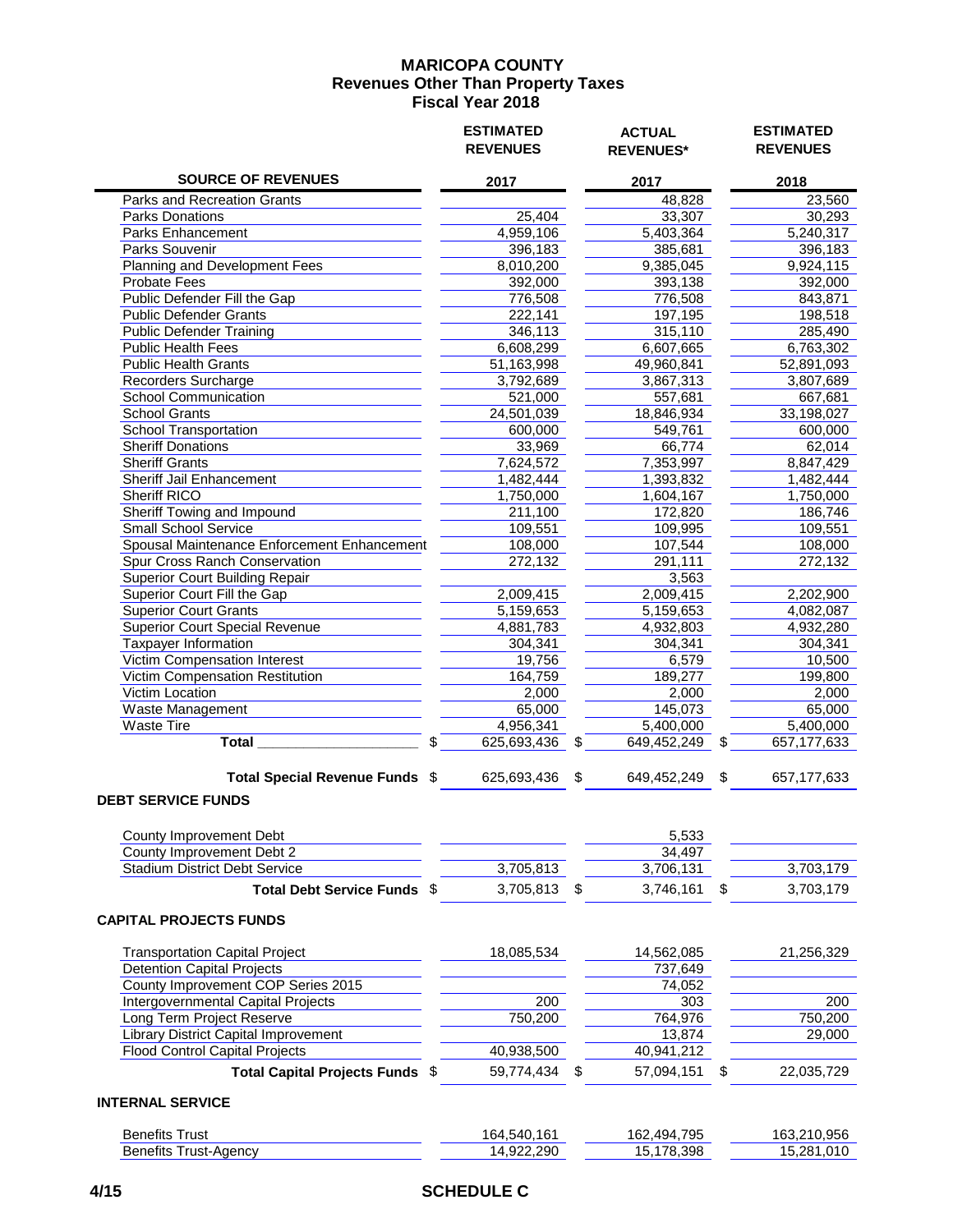|                                                                          |    | <b>ESTIMATED</b><br><b>REVENUES</b> | <b>ACTUAL</b><br><b>REVENUES*</b> | <b>ESTIMATED</b><br><b>REVENUES</b> |
|--------------------------------------------------------------------------|----|-------------------------------------|-----------------------------------|-------------------------------------|
| <b>SOURCE OF REVENUES</b>                                                |    | 2017                                | 2017                              | 2018                                |
| Parks and Recreation Grants                                              |    |                                     | 48,828                            | 23,560                              |
| Parks Donations                                                          |    | 25,404                              | 33,307                            | 30,293                              |
| Parks Enhancement                                                        |    | 4,959,106                           | 5,403,364                         | 5,240,317                           |
| Parks Souvenir                                                           |    | 396,183                             | 385,681                           | 396,183                             |
| Planning and Development Fees                                            |    | 8,010,200                           | 9,385,045                         | 9,924,115                           |
| <b>Probate Fees</b>                                                      |    | 392,000                             | 393,138                           | 392,000                             |
| Public Defender Fill the Gap                                             |    | 776,508                             | 776,508                           | 843,871                             |
| <b>Public Defender Grants</b>                                            |    | 222,141                             | 197,195                           | 198,518                             |
| <b>Public Defender Training</b>                                          |    | 346,113                             | 315,110                           | 285,490                             |
| Public Health Fees                                                       |    | 6,608,299                           | 6,607,665                         | 6,763,302                           |
| <b>Public Health Grants</b>                                              |    | 51,163,998                          | 49,960,841                        | 52,891,093                          |
| Recorders Surcharge                                                      |    | 3,792,689                           | 3,867,313                         | 3,807,689                           |
| <b>School Communication</b>                                              |    | 521,000                             | 557,681                           | 667,681                             |
| <b>School Grants</b>                                                     |    | 24,501,039                          | 18,846,934                        | 33,198,027                          |
| <b>School Transportation</b>                                             |    | 600,000                             | 549,761                           | 600,000                             |
| <b>Sheriff Donations</b>                                                 |    | 33,969                              | 66,774                            | 62,014                              |
| <b>Sheriff Grants</b>                                                    |    | 7,624,572                           | 7,353,997                         | 8,847,429                           |
| <b>Sheriff Jail Enhancement</b>                                          |    | 1,482,444                           | 1,393,832                         | 1,482,444                           |
| <b>Sheriff RICO</b>                                                      |    | 1,750,000                           | 1,604,167                         | 1,750,000                           |
| <b>Sheriff Towing and Impound</b>                                        |    | 211,100                             | 172,820                           | 186,746                             |
| <b>Small School Service</b>                                              |    | 109,551                             | 109,995                           | 109,551                             |
| Spousal Maintenance Enforcement Enhancement                              |    | 108,000                             | 107,544                           | 108,000                             |
| Spur Cross Ranch Conservation                                            |    | 272,132                             | 291,111                           | 272,132                             |
| <b>Superior Court Building Repair</b>                                    |    |                                     | 3,563                             |                                     |
| Superior Court Fill the Gap                                              |    | 2,009,415                           | 2,009,415                         | 2,202,900                           |
| <b>Superior Court Grants</b>                                             |    | 5,159,653                           | 5,159,653                         | 4,082,087                           |
| <b>Superior Court Special Revenue</b>                                    |    | 4,881,783                           | 4,932,803                         | 4,932,280                           |
| Taxpayer Information                                                     |    | 304,341                             | 304,341                           | 304,341                             |
| <b>Victim Compensation Interest</b>                                      |    | 19,756                              | 6,579                             | 10,500                              |
| Victim Compensation Restitution                                          |    | 164,759                             | 189,277                           | 199,800                             |
| <b>Victim Location</b>                                                   |    | 2,000                               | 2,000                             | 2,000                               |
| Waste Management                                                         |    | 65,000                              | 145,073                           | 65,000                              |
| Waste Tire                                                               |    | 4,956,341                           | 5,400,000                         | 5,400,000                           |
| <b>Total</b>                                                             | \$ | 625,693,436                         | \$<br>649,452,249                 | \$<br>657, 177, 633                 |
| Total Special Revenue Funds \$                                           |    | 625,693,436                         | \$<br>649,452,249                 | \$<br>657, 177, 633                 |
| <b>DEBT SERVICE FUNDS</b>                                                |    |                                     |                                   |                                     |
| County Improvement Debt                                                  |    |                                     | 5,533                             |                                     |
| County Improvement Debt 2                                                |    |                                     | 34,497                            |                                     |
| <b>Stadium District Debt Service</b>                                     |    | 3,705,813                           | 3,706,131                         | 3,703,179                           |
| Total Debt Service Funds \$                                              |    | 3,705,813                           | \$<br>3,746,161                   | \$<br>3,703,179                     |
| <b>CAPITAL PROJECTS FUNDS</b>                                            |    |                                     |                                   |                                     |
|                                                                          |    |                                     |                                   |                                     |
| <b>Transportation Capital Project</b>                                    |    | 18,085,534                          | 14,562,085                        | 21,256,329                          |
| <b>Detention Capital Projects</b>                                        |    |                                     | 737,649                           |                                     |
| County Improvement COP Series 2015                                       |    |                                     | 74,052                            |                                     |
| Intergovernmental Capital Projects                                       |    | 200                                 | 303                               | 200                                 |
| Long Term Project Reserve                                                |    | 750,200                             | 764,976                           | 750,200                             |
| Library District Capital Improvement                                     |    |                                     | 13,874                            | 29,000                              |
| <b>Flood Control Capital Projects</b><br>Total Capital Projects Funds \$ |    | 40,938,500<br>59,774,434            | \$<br>40,941,212<br>57,094,151    | \$<br>22,035,729                    |
| <b>INTERNAL SERVICE</b>                                                  |    |                                     |                                   |                                     |
|                                                                          |    |                                     |                                   |                                     |
| <b>Benefits Trust</b>                                                    |    | 164,540,161                         | 162,494,795                       | 163,210,956                         |
| <b>Benefits Trust-Agency</b>                                             |    | 14,922,290                          | 15,178,398                        | 15,281,010                          |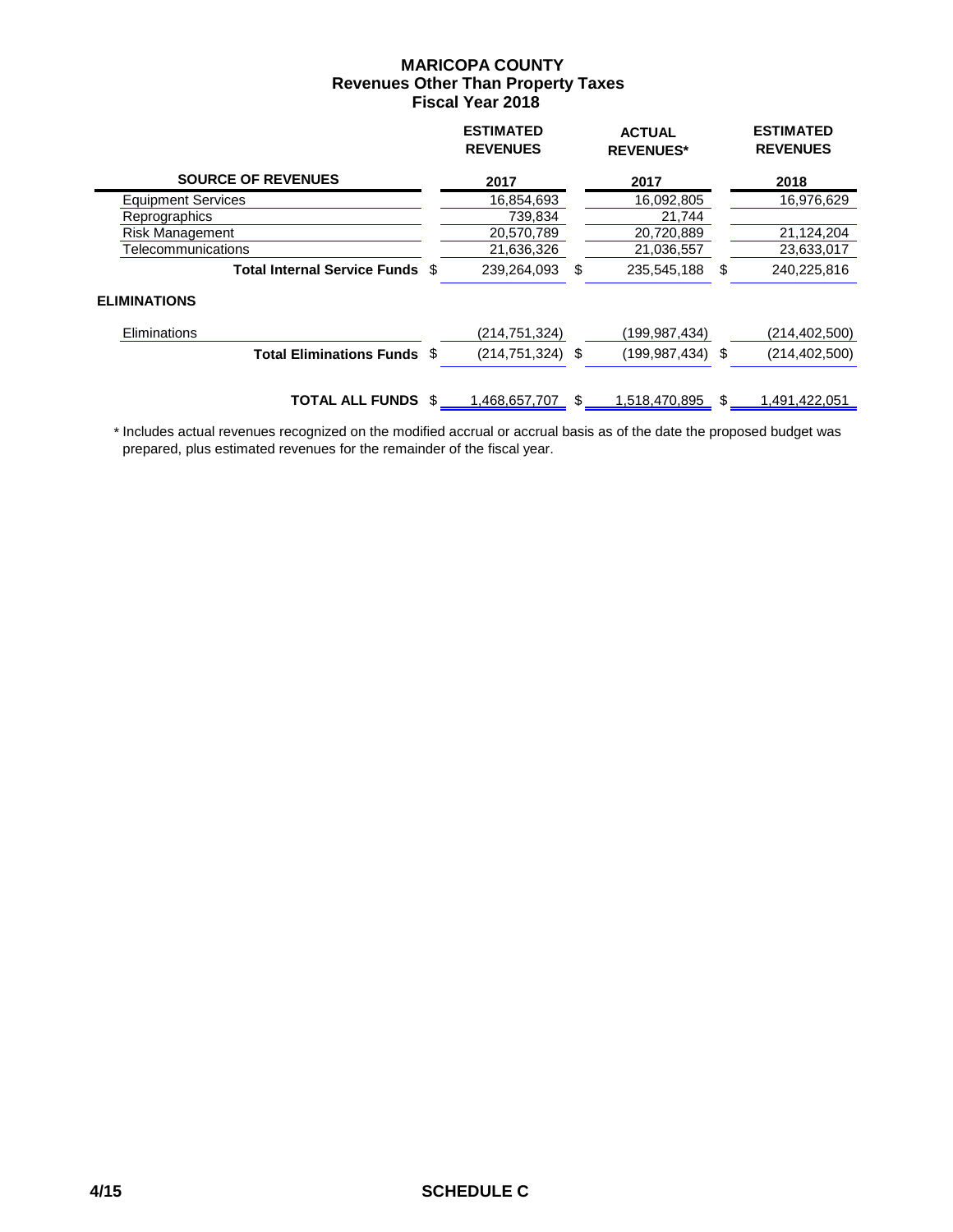|                                 |      | <b>ESTIMATED</b><br><b>REVENUES</b> |     | <b>ACTUAL</b><br><b>REVENUES*</b> |     | <b>ESTIMATED</b><br><b>REVENUES</b> |
|---------------------------------|------|-------------------------------------|-----|-----------------------------------|-----|-------------------------------------|
| <b>SOURCE OF REVENUES</b>       |      | 2017                                |     | 2017                              |     | 2018                                |
| <b>Equipment Services</b>       |      | 16,854,693                          |     | 16,092,805                        |     | 16,976,629                          |
| Reprographics                   |      | 739,834                             |     | 21,744                            |     |                                     |
| <b>Risk Management</b>          |      | 20,570,789                          |     | 20,720,889                        |     | 21,124,204                          |
| Telecommunications              |      | 21,636,326                          |     | 21,036,557                        |     | 23,633,017                          |
| Total Internal Service Funds \$ |      | 239,264,093                         | \$. | 235,545,188                       | \$. | 240,225,816                         |
| <b>ELIMINATIONS</b>             |      |                                     |     |                                   |     |                                     |
| Eliminations                    |      | (214,751,324)                       |     | (199,987,434)                     |     | (214,402,500)                       |
| <b>Total Eliminations Funds</b> | - \$ | $(214, 751, 324)$ \$                |     | $(199.987.434)$ \$                |     | (214, 402, 500)                     |
| <b>TOTAL ALL FUNDS</b>          |      | 1,468,657,707                       | S.  | 1,518,470,895                     | \$  | 1,491,422,051                       |

 \* Includes actual revenues recognized on the modified accrual or accrual basis as of the date the proposed budget was prepared, plus estimated revenues for the remainder of the fiscal year.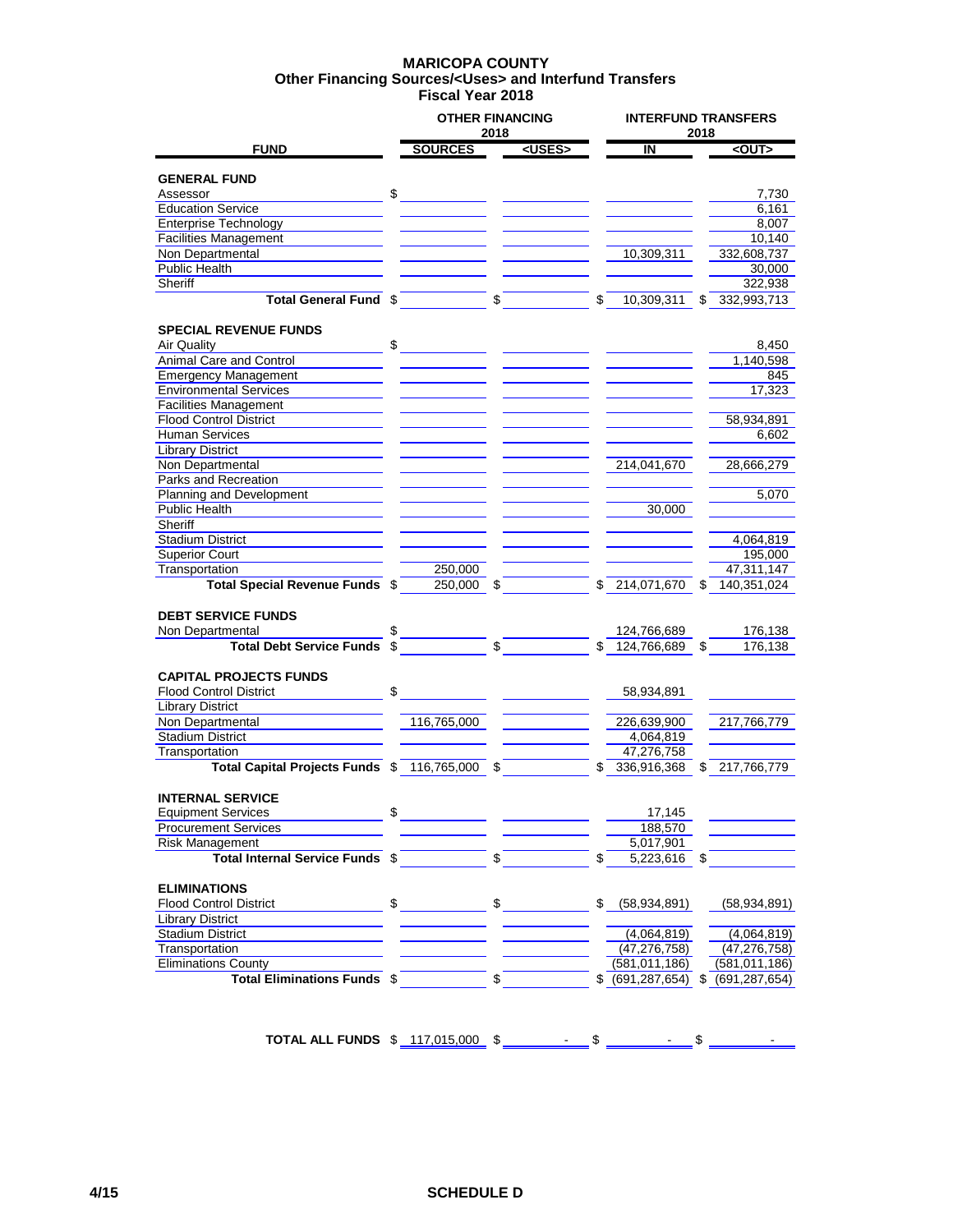#### **MARICOPA COUNTY Fiscal Year 2018 Other Financing Sources/<Uses> and Interfund Transfers**

| 2018<br><uses><br/><b>SOURCES</b><br/><math>\overline{\mathsf{I}}</math><br/><out><br/><b>FUND</b><br/><b>GENERAL FUND</b><br/>\$<br/>Assessor<br/><b>Education Service</b><br/><b>Enterprise Technology</b><br/><b>Facilities Management</b><br/>Non Departmental<br/>10,309,311<br/>332,608,737<br/>Public Health<br/>Sheriff<br/>Total General Fund \$<br/>\$<br/>332,993,713<br/>\$<br/>10,309,311<br/>\$<br/><b>SPECIAL REVENUE FUNDS</b><br/>Air Quality<br/>\$<br/>Animal Care and Control<br/><b>Emergency Management</b><br/><b>Environmental Services</b><br/><b>Facilities Management</b><br/><b>Flood Control District</b><br/>58,934,891<br/><b>Human Services</b></out></uses> | <b>INTERFUND TRANSFERS</b><br>2018 |  |  |
|----------------------------------------------------------------------------------------------------------------------------------------------------------------------------------------------------------------------------------------------------------------------------------------------------------------------------------------------------------------------------------------------------------------------------------------------------------------------------------------------------------------------------------------------------------------------------------------------------------------------------------------------------------------------------------------------|------------------------------------|--|--|
|                                                                                                                                                                                                                                                                                                                                                                                                                                                                                                                                                                                                                                                                                              |                                    |  |  |
|                                                                                                                                                                                                                                                                                                                                                                                                                                                                                                                                                                                                                                                                                              |                                    |  |  |
|                                                                                                                                                                                                                                                                                                                                                                                                                                                                                                                                                                                                                                                                                              |                                    |  |  |
|                                                                                                                                                                                                                                                                                                                                                                                                                                                                                                                                                                                                                                                                                              | 7,730                              |  |  |
|                                                                                                                                                                                                                                                                                                                                                                                                                                                                                                                                                                                                                                                                                              | 6,161                              |  |  |
|                                                                                                                                                                                                                                                                                                                                                                                                                                                                                                                                                                                                                                                                                              | 8,007                              |  |  |
|                                                                                                                                                                                                                                                                                                                                                                                                                                                                                                                                                                                                                                                                                              | 10,140                             |  |  |
|                                                                                                                                                                                                                                                                                                                                                                                                                                                                                                                                                                                                                                                                                              |                                    |  |  |
|                                                                                                                                                                                                                                                                                                                                                                                                                                                                                                                                                                                                                                                                                              | 30,000                             |  |  |
|                                                                                                                                                                                                                                                                                                                                                                                                                                                                                                                                                                                                                                                                                              | 322,938                            |  |  |
|                                                                                                                                                                                                                                                                                                                                                                                                                                                                                                                                                                                                                                                                                              |                                    |  |  |
|                                                                                                                                                                                                                                                                                                                                                                                                                                                                                                                                                                                                                                                                                              |                                    |  |  |
|                                                                                                                                                                                                                                                                                                                                                                                                                                                                                                                                                                                                                                                                                              | 8,450                              |  |  |
|                                                                                                                                                                                                                                                                                                                                                                                                                                                                                                                                                                                                                                                                                              | 1,140,598                          |  |  |
|                                                                                                                                                                                                                                                                                                                                                                                                                                                                                                                                                                                                                                                                                              | 845                                |  |  |
|                                                                                                                                                                                                                                                                                                                                                                                                                                                                                                                                                                                                                                                                                              | 17,323                             |  |  |
|                                                                                                                                                                                                                                                                                                                                                                                                                                                                                                                                                                                                                                                                                              |                                    |  |  |
|                                                                                                                                                                                                                                                                                                                                                                                                                                                                                                                                                                                                                                                                                              |                                    |  |  |
|                                                                                                                                                                                                                                                                                                                                                                                                                                                                                                                                                                                                                                                                                              | 6,602                              |  |  |
| <b>Library District</b>                                                                                                                                                                                                                                                                                                                                                                                                                                                                                                                                                                                                                                                                      |                                    |  |  |
| 214,041,670<br>Non Departmental                                                                                                                                                                                                                                                                                                                                                                                                                                                                                                                                                                                                                                                              | 28,666,279                         |  |  |
| Parks and Recreation                                                                                                                                                                                                                                                                                                                                                                                                                                                                                                                                                                                                                                                                         |                                    |  |  |
| Planning and Development                                                                                                                                                                                                                                                                                                                                                                                                                                                                                                                                                                                                                                                                     | 5,070                              |  |  |
| Public Health<br>30,000                                                                                                                                                                                                                                                                                                                                                                                                                                                                                                                                                                                                                                                                      |                                    |  |  |
| Sheriff                                                                                                                                                                                                                                                                                                                                                                                                                                                                                                                                                                                                                                                                                      |                                    |  |  |
| <b>Stadium District</b>                                                                                                                                                                                                                                                                                                                                                                                                                                                                                                                                                                                                                                                                      | 4,064,819                          |  |  |
| <b>Superior Court</b>                                                                                                                                                                                                                                                                                                                                                                                                                                                                                                                                                                                                                                                                        | 195,000                            |  |  |
| Transportation<br>250,000                                                                                                                                                                                                                                                                                                                                                                                                                                                                                                                                                                                                                                                                    | 47,311,147                         |  |  |
| <b>Total Special Revenue Funds \$</b><br>214,071,670<br>250,000 \$<br>S<br>140,351,024                                                                                                                                                                                                                                                                                                                                                                                                                                                                                                                                                                                                       |                                    |  |  |
| <b>DEBT SERVICE FUNDS</b>                                                                                                                                                                                                                                                                                                                                                                                                                                                                                                                                                                                                                                                                    |                                    |  |  |
| Non Departmental<br>124,766,689                                                                                                                                                                                                                                                                                                                                                                                                                                                                                                                                                                                                                                                              | 176,138                            |  |  |
| \$<br>124,766,689<br><b>Total Debt Service Funds</b><br>\$<br>\$                                                                                                                                                                                                                                                                                                                                                                                                                                                                                                                                                                                                                             | 176,138                            |  |  |
|                                                                                                                                                                                                                                                                                                                                                                                                                                                                                                                                                                                                                                                                                              |                                    |  |  |
| <b>CAPITAL PROJECTS FUNDS</b>                                                                                                                                                                                                                                                                                                                                                                                                                                                                                                                                                                                                                                                                |                                    |  |  |
| \$<br><b>Flood Control District</b><br>58,934,891                                                                                                                                                                                                                                                                                                                                                                                                                                                                                                                                                                                                                                            |                                    |  |  |
| <b>Library District</b>                                                                                                                                                                                                                                                                                                                                                                                                                                                                                                                                                                                                                                                                      |                                    |  |  |
| Non Departmental<br>116,765,000<br>226,639,900<br>217,766,779                                                                                                                                                                                                                                                                                                                                                                                                                                                                                                                                                                                                                                |                                    |  |  |
| <b>Stadium District</b><br>4,064,819                                                                                                                                                                                                                                                                                                                                                                                                                                                                                                                                                                                                                                                         |                                    |  |  |
| Transportation<br>47,276,758                                                                                                                                                                                                                                                                                                                                                                                                                                                                                                                                                                                                                                                                 |                                    |  |  |
| Total Capital Projects Funds \$<br>116,765,000<br>336,916,368<br>217,766,779<br>S<br>\$<br>S                                                                                                                                                                                                                                                                                                                                                                                                                                                                                                                                                                                                 |                                    |  |  |
| <b>INTERNAL SERVICE</b>                                                                                                                                                                                                                                                                                                                                                                                                                                                                                                                                                                                                                                                                      |                                    |  |  |
| \$<br><b>Equipment Services</b><br>17,145                                                                                                                                                                                                                                                                                                                                                                                                                                                                                                                                                                                                                                                    |                                    |  |  |
| <b>Procurement Services</b><br>188,570                                                                                                                                                                                                                                                                                                                                                                                                                                                                                                                                                                                                                                                       |                                    |  |  |
| <b>Risk Management</b><br>5,017,901                                                                                                                                                                                                                                                                                                                                                                                                                                                                                                                                                                                                                                                          |                                    |  |  |
| Total Internal Service Funds \$<br>\$<br>\$<br>5,223,616<br>\$                                                                                                                                                                                                                                                                                                                                                                                                                                                                                                                                                                                                                               |                                    |  |  |
|                                                                                                                                                                                                                                                                                                                                                                                                                                                                                                                                                                                                                                                                                              |                                    |  |  |
| <b>ELIMINATIONS</b>                                                                                                                                                                                                                                                                                                                                                                                                                                                                                                                                                                                                                                                                          |                                    |  |  |
| \$<br>\$<br><b>Flood Control District</b><br>\$<br>(58, 934, 891)                                                                                                                                                                                                                                                                                                                                                                                                                                                                                                                                                                                                                            | (58, 934, 891)                     |  |  |
| <b>Library District</b>                                                                                                                                                                                                                                                                                                                                                                                                                                                                                                                                                                                                                                                                      |                                    |  |  |
| <b>Stadium District</b><br>(4,064,819)                                                                                                                                                                                                                                                                                                                                                                                                                                                                                                                                                                                                                                                       | (4,064,819)                        |  |  |
| Transportation<br>(47, 276, 758)                                                                                                                                                                                                                                                                                                                                                                                                                                                                                                                                                                                                                                                             | (47, 276, 758)                     |  |  |
| <b>Eliminations County</b><br>(581, 011, 186)<br>(581, 011, 186)                                                                                                                                                                                                                                                                                                                                                                                                                                                                                                                                                                                                                             |                                    |  |  |
| Total Eliminations Funds \$<br>\$<br>\$ (691, 287, 654)<br>(691,287,654)<br>\$                                                                                                                                                                                                                                                                                                                                                                                                                                                                                                                                                                                                               |                                    |  |  |

**TOTAL ALL FUNDS**  $$ 117,015,000$   $$$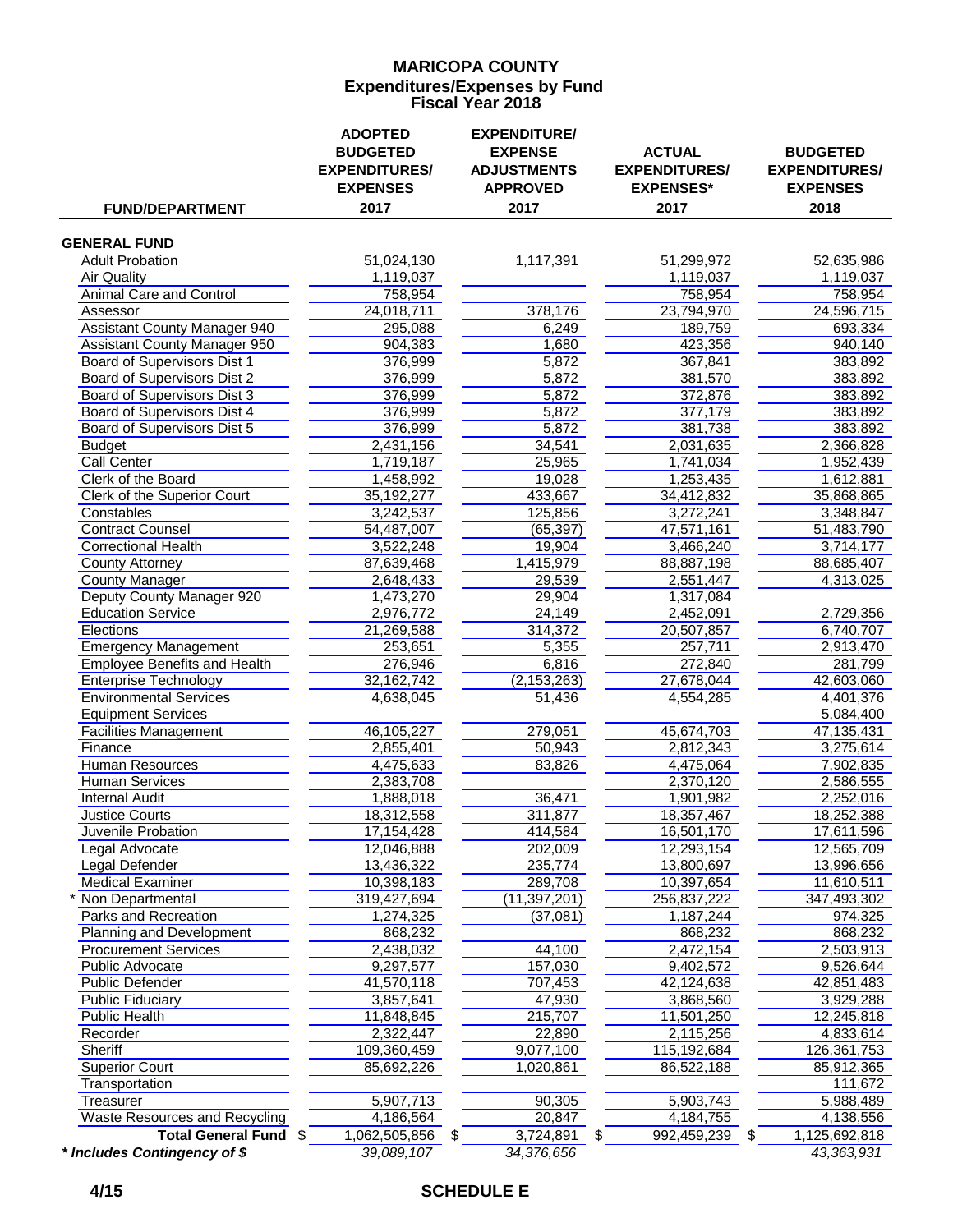### **MARICOPA COUNTY Fiscal Year 2018 Expenditures/Expenses by Fund**

| <b>FUND/DEPARTMENT</b>                                  | <b>ADOPTED</b><br><b>BUDGETED</b><br><b>EXPENDITURES/</b><br><b>EXPENSES</b><br>2017 | <b>EXPENDITURE/</b><br><b>EXPENSE</b><br><b>ADJUSTMENTS</b><br><b>APPROVED</b><br>2017 | <b>ACTUAL</b><br><b>EXPENDITURES/</b><br><b>EXPENSES*</b><br>2017 | <b>BUDGETED</b><br><b>EXPENDITURES/</b><br><b>EXPENSES</b><br>2018 |
|---------------------------------------------------------|--------------------------------------------------------------------------------------|----------------------------------------------------------------------------------------|-------------------------------------------------------------------|--------------------------------------------------------------------|
|                                                         |                                                                                      |                                                                                        |                                                                   |                                                                    |
| <b>GENERAL FUND</b>                                     |                                                                                      |                                                                                        |                                                                   |                                                                    |
| <b>Adult Probation</b>                                  | 51,024,130                                                                           | 1,117,391                                                                              | 51,299,972                                                        | 52,635,986                                                         |
| <b>Air Quality</b>                                      | 1,119,037                                                                            |                                                                                        | 1,119,037                                                         | 1,119,037                                                          |
| <b>Animal Care and Control</b>                          | 758,954                                                                              |                                                                                        | 758,954                                                           | 758,954                                                            |
| Assessor                                                | 24,018,711                                                                           | 378,176                                                                                | 23,794,970                                                        | 24,596,715                                                         |
| <b>Assistant County Manager 940</b>                     | 295,088                                                                              | 6,249                                                                                  | 189,759                                                           | 693,334                                                            |
| Assistant County Manager 950                            | 904,383                                                                              | 1,680                                                                                  | 423,356                                                           | 940,140                                                            |
| <b>Board of Supervisors Dist 1</b>                      | 376,999                                                                              | 5,872                                                                                  | 367,841                                                           | 383,892                                                            |
| Board of Supervisors Dist 2                             | 376,999                                                                              | 5,872                                                                                  | 381,570                                                           | 383,892                                                            |
| Board of Supervisors Dist 3                             | 376,999                                                                              | 5,872                                                                                  | 372,876                                                           | 383,892                                                            |
| Board of Supervisors Dist 4                             | 376,999                                                                              | 5,872                                                                                  | 377,179                                                           | 383,892                                                            |
| Board of Supervisors Dist 5                             | 376,999<br>2,431,156                                                                 | 5,872<br>34,541                                                                        | 381,738<br>2,031,635                                              | 383,892<br>2,366,828                                               |
| <b>Budget</b><br><b>Call Center</b>                     | 1,719,187                                                                            | 25,965                                                                                 | 1,741,034                                                         | 1,952,439                                                          |
| Clerk of the Board                                      | 1,458,992                                                                            | 19,028                                                                                 | 1,253,435                                                         | 1,612,881                                                          |
| Clerk of the Superior Court                             | 35,192,277                                                                           | 433,667                                                                                | 34,412,832                                                        | 35,868,865                                                         |
| Constables                                              | 3,242,537                                                                            | 125,856                                                                                | 3,272,241                                                         | 3,348,847                                                          |
| <b>Contract Counsel</b>                                 | 54,487,007                                                                           | (65, 397)                                                                              | 47,571,161                                                        | 51,483,790                                                         |
| <b>Correctional Health</b>                              | 3,522,248                                                                            | 19,904                                                                                 | 3,466,240                                                         | 3,714,177                                                          |
| <b>County Attorney</b>                                  | 87,639,468                                                                           | 1,415,979                                                                              | 88,887,198                                                        | 88,685,407                                                         |
| <b>County Manager</b>                                   | 2,648,433                                                                            | 29,539                                                                                 | 2,551,447                                                         | 4,313,025                                                          |
| Deputy County Manager 920                               | 1,473,270                                                                            | 29,904                                                                                 | 1,317,084                                                         |                                                                    |
| <b>Education Service</b>                                | 2,976,772                                                                            | 24,149                                                                                 | 2,452,091                                                         | 2,729,356                                                          |
| <b>Elections</b>                                        | 21,269,588                                                                           | 314,372                                                                                | 20,507,857                                                        | 6,740,707                                                          |
| <b>Emergency Management</b>                             | 253,651                                                                              | 5,355                                                                                  | 257,711                                                           | 2,913,470                                                          |
| <b>Employee Benefits and Health</b>                     | 276,946                                                                              | 6,816                                                                                  | 272,840                                                           | 281,799                                                            |
| <b>Enterprise Technology</b>                            | 32,162,742                                                                           | (2, 153, 263)                                                                          | 27,678,044                                                        | 42,603,060                                                         |
| <b>Environmental Services</b>                           | 4,638,045                                                                            | 51,436                                                                                 | 4,554,285                                                         | 4,401,376                                                          |
| <b>Equipment Services</b>                               |                                                                                      |                                                                                        |                                                                   | 5,084,400                                                          |
| <b>Facilities Management</b>                            | 46,105,227                                                                           | 279,051                                                                                | 45,674,703                                                        | 47,135,431                                                         |
| Finance                                                 | 2,855,401                                                                            | 50,943                                                                                 | 2,812,343                                                         | 3,275,614                                                          |
| <b>Human Resources</b>                                  | 4,475,633                                                                            | 83,826                                                                                 | 4,475,064                                                         | 7,902,835                                                          |
| <b>Human Services</b>                                   | 2,383,708                                                                            |                                                                                        | 2,370,120                                                         | 2,586,555                                                          |
| <b>Internal Audit</b>                                   | 1,888,018                                                                            | 36,471                                                                                 | 1,901,982                                                         | 2,252,016                                                          |
| <b>Justice Courts</b>                                   | 18,312,558                                                                           | 311,877                                                                                | 18,357,467                                                        | 18,252,388                                                         |
| Juvenile Probation                                      | 17,154,428                                                                           | 414,584                                                                                | 16,501,170                                                        | 17,611,596                                                         |
| egal Advocate                                           | 12,046,888                                                                           | 202,009                                                                                | 12,293,154                                                        | 12,565,709                                                         |
| Legal Defender                                          | 13,436,322                                                                           | 235,774                                                                                | 13,800,697                                                        | 13,996,656                                                         |
| <b>Medical Examiner</b>                                 | 10,398,183                                                                           | 289,708                                                                                | 10,397,654                                                        | 11,610,511                                                         |
| Non Departmental                                        | 319,427,694                                                                          | (11, 397, 201)                                                                         | 256,837,222                                                       | 347,493,302                                                        |
| Parks and Recreation                                    | 1,274,325                                                                            | (37,081)                                                                               | 1,187,244                                                         | 974,325                                                            |
| Planning and Development<br><b>Procurement Services</b> | 868,232                                                                              |                                                                                        | 868,232                                                           | 868,232                                                            |
| Public Advocate                                         | 2,438,032<br>9,297,577                                                               | 44,100<br>157,030                                                                      | 2,472,154<br>9,402,572                                            | 2,503,913<br>9,526,644                                             |
| <b>Public Defender</b>                                  | 41,570,118                                                                           | 707,453                                                                                | 42,124,638                                                        | 42,851,483                                                         |
| <b>Public Fiduciary</b>                                 | 3,857,641                                                                            | 47,930                                                                                 | 3,868,560                                                         | 3,929,288                                                          |
| <b>Public Health</b>                                    | 11,848,845                                                                           | 215,707                                                                                | 11,501,250                                                        | 12,245,818                                                         |
| Recorder                                                | 2,322,447                                                                            | 22,890                                                                                 | 2,115,256                                                         | 4,833,614                                                          |
| Sheriff                                                 | 109,360,459                                                                          | 9,077,100                                                                              | 115,192,684                                                       | 126,361,753                                                        |
| <b>Superior Court</b>                                   | 85,692,226                                                                           | 1,020,861                                                                              | 86,522,188                                                        | 85,912,365                                                         |
| Transportation                                          |                                                                                      |                                                                                        |                                                                   | 111,672                                                            |
| Treasurer                                               | 5,907,713                                                                            | 90,305                                                                                 | 5,903,743                                                         | 5,988,489                                                          |
| Waste Resources and Recycling                           | 4,186,564                                                                            | 20,847                                                                                 | 4,184,755                                                         | 4,138,556                                                          |
| Total General Fund \$                                   | 1,062,505,856                                                                        | 3,724,891<br>\$                                                                        | 992,459,239<br>\$                                                 | 1,125,692,818<br>\$                                                |
| * Includes Contingency of \$                            | 39,089,107                                                                           | 34,376,656                                                                             |                                                                   | 43,363,931                                                         |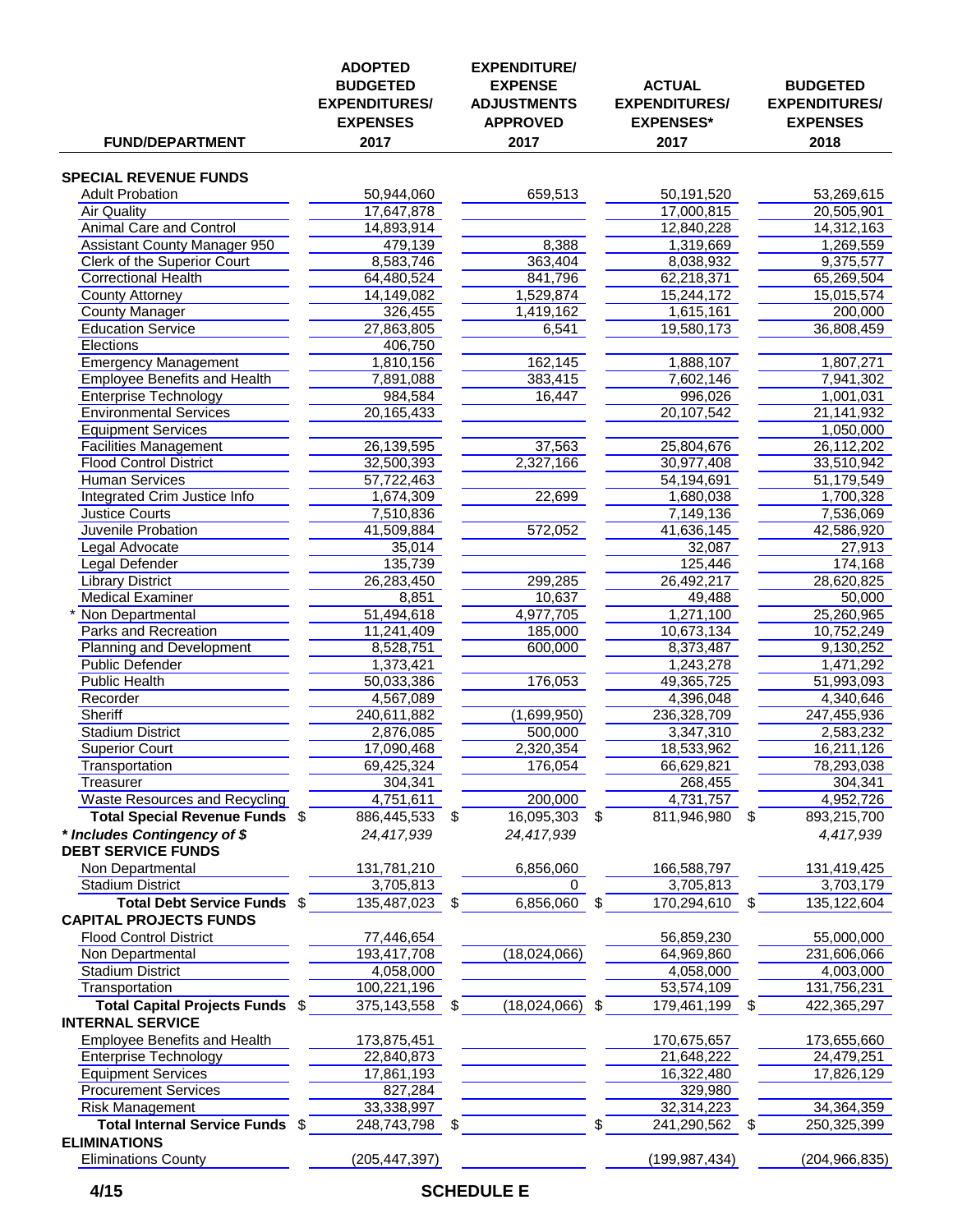| <b>FUND/DEPARTMENT</b>                                 | <b>ADOPTED</b><br><b>BUDGETED</b><br><b>EXPENDITURES/</b><br><b>EXPENSES</b><br>2017 |    | <b>EXPENDITURE/</b><br><b>EXPENSE</b><br><b>ADJUSTMENTS</b><br><b>APPROVED</b><br>2017 |    | <b>ACTUAL</b><br><b>EXPENDITURES/</b><br><b>EXPENSES*</b><br>2017 |    | <b>BUDGETED</b><br><b>EXPENDITURES/</b><br><b>EXPENSES</b><br>2018 |
|--------------------------------------------------------|--------------------------------------------------------------------------------------|----|----------------------------------------------------------------------------------------|----|-------------------------------------------------------------------|----|--------------------------------------------------------------------|
|                                                        |                                                                                      |    |                                                                                        |    |                                                                   |    |                                                                    |
| <b>SPECIAL REVENUE FUNDS</b>                           |                                                                                      |    |                                                                                        |    |                                                                   |    |                                                                    |
| <b>Adult Probation</b>                                 | 50,944,060                                                                           |    | 659,513                                                                                |    | 50,191,520                                                        |    | 53,269,615                                                         |
| <b>Air Quality</b><br><b>Animal Care and Control</b>   | 17,647,878                                                                           |    |                                                                                        |    | 17,000,815<br>12,840,228                                          |    | 20,505,901                                                         |
| <b>Assistant County Manager 950</b>                    | 14,893,914<br>479,139                                                                |    | 8,388                                                                                  |    | 1,319,669                                                         |    | 14,312,163<br>1,269,559                                            |
| <b>Clerk of the Superior Court</b>                     | 8,583,746                                                                            |    | 363,404                                                                                |    | 8,038,932                                                         |    | 9,375,577                                                          |
| <b>Correctional Health</b>                             | 64,480,524                                                                           |    | 841,796                                                                                |    | 62,218,371                                                        |    | 65,269,504                                                         |
| County Attorney                                        | 14,149,082                                                                           |    | 1,529,874                                                                              |    | 15,244,172                                                        |    | 15,015,574                                                         |
| <b>County Manager</b>                                  | 326,455                                                                              |    | 1,419,162                                                                              |    | 1,615,161                                                         |    | 200,000                                                            |
| <b>Education Service</b>                               | 27,863,805                                                                           |    | 6,541                                                                                  |    | 19,580,173                                                        |    | 36,808,459                                                         |
| Elections                                              | 406,750                                                                              |    |                                                                                        |    |                                                                   |    |                                                                    |
| <b>Emergency Management</b>                            | 1,810,156                                                                            |    | 162,145                                                                                |    | 1,888,107                                                         |    | 1,807,271                                                          |
| Employee Benefits and Health                           | 7,891,088                                                                            |    | 383,415                                                                                |    | 7,602,146                                                         |    | 7,941,302                                                          |
| <b>Enterprise Technology</b>                           | 984,584                                                                              |    | 16,447                                                                                 |    | 996,026                                                           |    | 1,001,031                                                          |
| <b>Environmental Services</b>                          | 20,165,433                                                                           |    |                                                                                        |    | 20,107,542                                                        |    | 21,141,932                                                         |
| <b>Equipment Services</b>                              |                                                                                      |    |                                                                                        |    |                                                                   |    | 1,050,000                                                          |
| <b>Facilities Management</b>                           | 26,139,595                                                                           |    | 37,563                                                                                 |    | 25,804,676                                                        |    | 26,112,202                                                         |
| <b>Flood Control District</b>                          | 32,500,393                                                                           |    | 2,327,166                                                                              |    | 30,977,408                                                        |    | 33,510,942                                                         |
| <b>Human Services</b>                                  | 57,722,463                                                                           |    |                                                                                        |    | 54,194,691                                                        |    | 51,179,549                                                         |
| Integrated Crim Justice Info                           | 1,674,309                                                                            |    | 22,699                                                                                 |    | 1,680,038                                                         |    | 1,700,328                                                          |
| <b>Justice Courts</b><br><b>Juvenile Probation</b>     | 7,510,836                                                                            |    | 572,052                                                                                |    | 7,149,136                                                         |    | 7,536,069                                                          |
| Legal Advocate                                         | 41,509,884<br>35,014                                                                 |    |                                                                                        |    | 41,636,145<br>32,087                                              |    | 42,586,920<br>27,913                                               |
| Legal Defender                                         | 135,739                                                                              |    |                                                                                        |    | 125,446                                                           |    | 174,168                                                            |
| <b>Library District</b>                                | 26,283,450                                                                           |    | 299,285                                                                                |    | 26,492,217                                                        |    | 28,620,825                                                         |
| <b>Medical Examiner</b>                                | 8,851                                                                                |    | 10,637                                                                                 |    | 49,488                                                            |    | 50,000                                                             |
| Non Departmental                                       | 51,494,618                                                                           |    | 4,977,705                                                                              |    | 1,271,100                                                         |    | 25,260,965                                                         |
| Parks and Recreation                                   | 11,241,409                                                                           |    | 185,000                                                                                |    | 10,673,134                                                        |    | 10,752,249                                                         |
| Planning and Development                               | 8,528,751                                                                            |    | 600,000                                                                                |    | 8,373,487                                                         |    | 9,130,252                                                          |
| Public Defender                                        | 1,373,421                                                                            |    |                                                                                        |    | 1,243,278                                                         |    | 1,471,292                                                          |
| <b>Public Health</b>                                   | 50,033,386                                                                           |    | 176,053                                                                                |    | 49,365,725                                                        |    | 51,993,093                                                         |
| Recorder                                               | 4,567,089                                                                            |    |                                                                                        |    | 4,396,048                                                         |    | 4,340,646                                                          |
| <b>Sheriff</b>                                         | 240,611,882                                                                          |    | (1,699,950)                                                                            |    | 236,328,709                                                       |    | 247,455,936                                                        |
| <b>Stadium District</b>                                | 2,876,085                                                                            |    | 500,000                                                                                |    | 3,347,310                                                         |    | 2,583,232                                                          |
| <b>Superior Court</b>                                  | 17,090,468                                                                           |    | 2,320,354                                                                              |    | 18,533,962                                                        |    | 16,211,126                                                         |
| Transportation                                         | 69,425,324                                                                           |    | 176,054                                                                                |    | 66,629,821                                                        |    | 78,293,038                                                         |
| Treasurer                                              | 304,341                                                                              |    |                                                                                        |    | 268,455                                                           |    | 304,341                                                            |
| Waste Resources and Recycling                          | 4,751,611                                                                            |    | 200,000                                                                                |    | 4,731,757                                                         |    | 4,952,726                                                          |
| Total Special Revenue Funds \$                         | 886,445,533                                                                          | \$ | 16,095,303                                                                             | \$ | 811,946,980 \$                                                    |    | 893,215,700                                                        |
| * Includes Contingency of \$                           | 24,417,939                                                                           |    | 24,417,939                                                                             |    |                                                                   |    | 4,417,939                                                          |
| <b>DEBT SERVICE FUNDS</b>                              |                                                                                      |    |                                                                                        |    |                                                                   |    |                                                                    |
| Non Departmental                                       | 131,781,210                                                                          |    | 6,856,060<br>0                                                                         |    | 166,588,797                                                       |    | 131,419,425<br>3,703,179                                           |
| <b>Stadium District</b><br>Total Debt Service Funds \$ | 3,705,813                                                                            |    |                                                                                        |    | 3,705,813                                                         |    |                                                                    |
| <b>CAPITAL PROJECTS FUNDS</b>                          | 135,487,023                                                                          | S  | 6,856,060                                                                              | \$ | 170,294,610                                                       | S  | 135,122,604                                                        |
| <b>Flood Control District</b>                          | 77,446,654                                                                           |    |                                                                                        |    | 56,859,230                                                        |    | 55,000,000                                                         |
| Non Departmental                                       | 193,417,708                                                                          |    | (18,024,066)                                                                           |    | 64,969,860                                                        |    | 231,606,066                                                        |
| <b>Stadium District</b>                                | 4,058,000                                                                            |    |                                                                                        |    | 4,058,000                                                         |    | 4,003,000                                                          |
| Transportation                                         | 100,221,196                                                                          |    |                                                                                        |    | 53,574,109                                                        |    | 131,756,231                                                        |
| Total Capital Projects Funds \$                        | 375,143,558                                                                          | S  | (18,024,066)                                                                           | S  | 179,461,199                                                       | \$ | 422,365,297                                                        |
| <b>INTERNAL SERVICE</b>                                |                                                                                      |    |                                                                                        |    |                                                                   |    |                                                                    |
| Employee Benefits and Health                           | 173,875,451                                                                          |    |                                                                                        |    | 170,675,657                                                       |    | 173,655,660                                                        |
| <b>Enterprise Technology</b>                           | 22,840,873                                                                           |    |                                                                                        |    | 21,648,222                                                        |    | 24,479,251                                                         |
| <b>Equipment Services</b>                              | 17,861,193                                                                           |    |                                                                                        |    | 16,322,480                                                        |    | 17,826,129                                                         |
| <b>Procurement Services</b>                            | 827,284                                                                              |    |                                                                                        |    | 329,980                                                           |    |                                                                    |
| <b>Risk Management</b>                                 | 33,338,997                                                                           |    |                                                                                        |    | 32,314,223                                                        |    | 34,364,359                                                         |
| <b>Total Internal Service Funds</b>                    | 248,743,798                                                                          | \$ |                                                                                        | S  | 241,290,562                                                       | \$ | 250,325,399                                                        |
| <b>ELIMINATIONS</b>                                    |                                                                                      |    |                                                                                        |    |                                                                   |    |                                                                    |
| <b>Eliminations County</b>                             | (205, 447, 397)                                                                      |    |                                                                                        |    | (199, 987, 434)                                                   |    | (204, 966, 835)                                                    |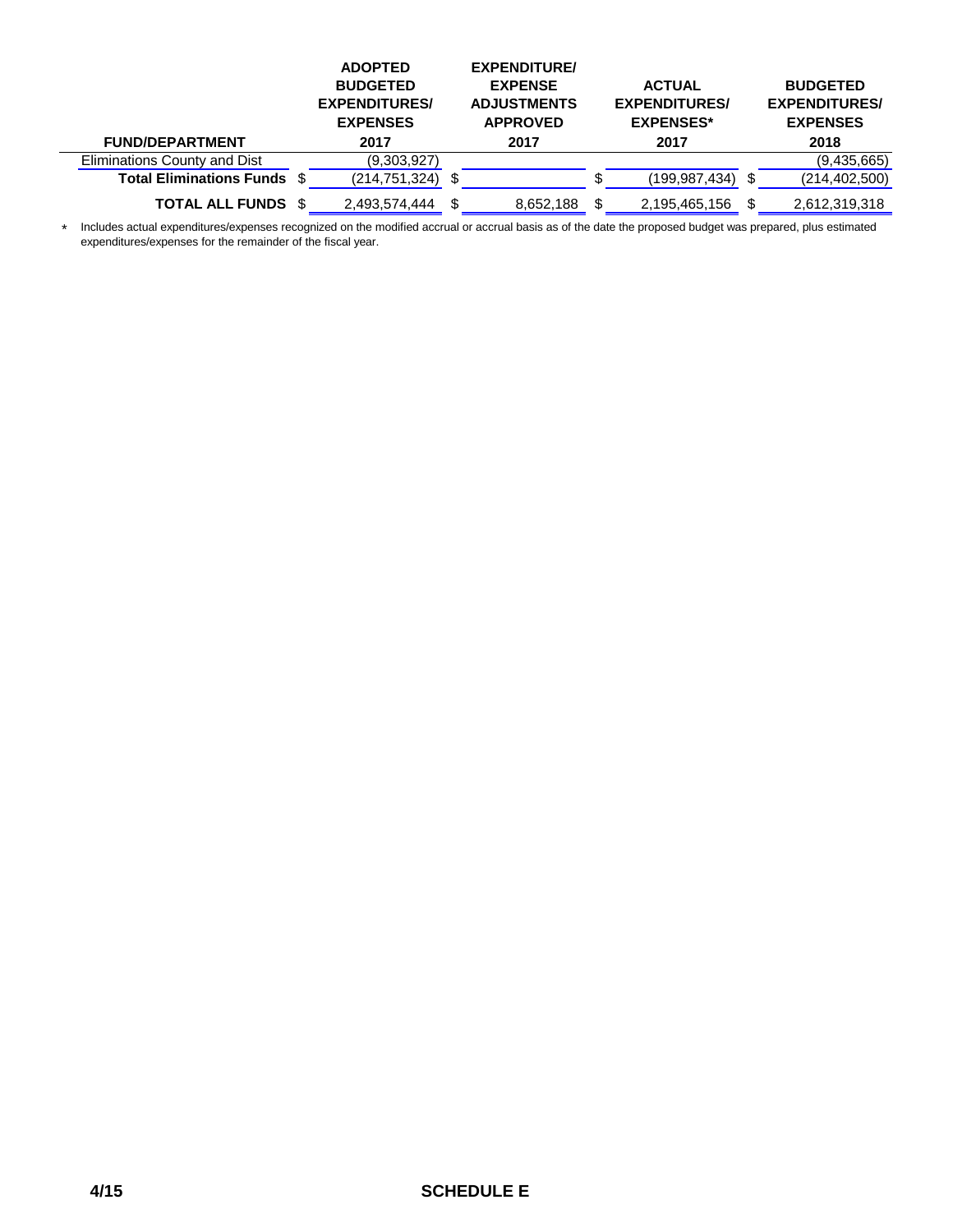|                                    | <b>ADOPTED</b><br><b>BUDGETED</b><br><b>EXPENDITURES/</b><br><b>EXPENSES</b> |     | <b>EXPENDITURE/</b><br><b>EXPENSE</b><br><b>ADJUSTMENTS</b><br><b>APPROVED</b> | <b>ACTUAL</b><br><b>EXPENDITURES/</b><br><b>EXPENSES*</b> | <b>BUDGETED</b><br><b>EXPENDITURES/</b><br><b>EXPENSES</b> |
|------------------------------------|------------------------------------------------------------------------------|-----|--------------------------------------------------------------------------------|-----------------------------------------------------------|------------------------------------------------------------|
| <b>FUND/DEPARTMENT</b>             | 2017                                                                         |     | 2017                                                                           | 2017                                                      | 2018                                                       |
| Eliminations County and Dist       | (9,303,927)                                                                  |     |                                                                                |                                                           | (9,435,665)                                                |
| <b>Total Eliminations Funds \$</b> | (214,751,324)                                                                |     |                                                                                | (199,987,434)                                             | \$<br>(214, 402, 500)                                      |
| <b>TOTAL ALL FUNDS \$</b>          | 2,493,574,444                                                                | \$. | 8,652,188                                                                      | 2,195,465,156                                             | 2,612,319,318                                              |

\* Includes actual expenditures/expenses recognized on the modified accrual or accrual basis as of the date the proposed budget was prepared, plus estimated expenditures/expenses for the remainder of the fiscal year.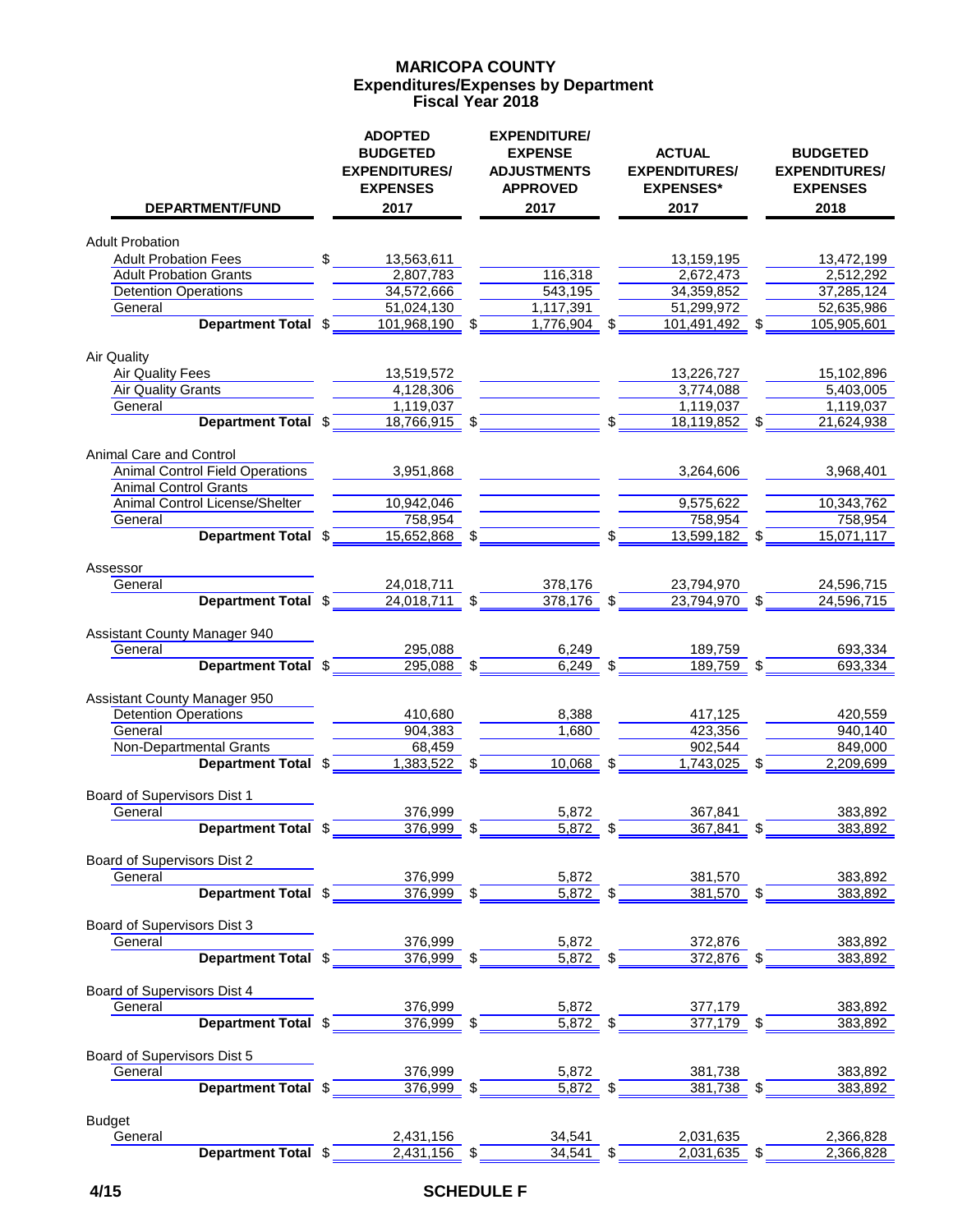#### **Expenditures/Expenses by Department MARICOPA COUNTY Fiscal Year 2018**

|                                        |              | <b>ADOPTED</b><br><b>BUDGETED</b><br><b>EXPENDITURES/</b><br><b>EXPENSES</b> | <b>EXPENDITURE/</b><br><b>EXPENSE</b><br><b>ADJUSTMENTS</b><br><b>APPROVED</b> | <b>ACTUAL</b><br><b>EXPENDITURES/</b><br><b>EXPENSES*</b> | <b>BUDGETED</b><br><b>EXPENDITURES/</b><br><b>EXPENSES</b> |
|----------------------------------------|--------------|------------------------------------------------------------------------------|--------------------------------------------------------------------------------|-----------------------------------------------------------|------------------------------------------------------------|
| DEPARTMENT/FUND                        |              | 2017                                                                         | 2017                                                                           | 2017                                                      | 2018                                                       |
| <b>Adult Probation</b>                 |              |                                                                              |                                                                                |                                                           |                                                            |
| <b>Adult Probation Fees</b>            | $\mathbb{S}$ | 13,563,611                                                                   |                                                                                | 13,159,195                                                | 13,472,199                                                 |
| <b>Adult Probation Grants</b>          |              | 2,807,783                                                                    | 116,318                                                                        | 2,672,473                                                 | 2,512,292                                                  |
| <b>Detention Operations</b>            |              | 34,572,666                                                                   | 543,195                                                                        | 34,359,852                                                | 37,285,124                                                 |
| General                                |              | 51,024,130                                                                   | 1,117,391                                                                      | 51,299,972                                                | 52,635,986                                                 |
| Department Total \$                    |              | 101,968,190 \$                                                               | $1,7\overline{76,904}$ \$                                                      | 101,491,492 \$                                            | 105,905,601                                                |
|                                        |              |                                                                              |                                                                                |                                                           |                                                            |
| <b>Air Quality</b>                     |              |                                                                              |                                                                                |                                                           |                                                            |
| <b>Air Quality Fees</b>                |              | 13,519,572                                                                   |                                                                                | 13,226,727                                                | 15,102,896                                                 |
| <b>Air Quality Grants</b>              |              | 4,128,306                                                                    |                                                                                | 3,774,088                                                 | 5,403,005                                                  |
| General                                |              | 1,119,037                                                                    |                                                                                | 1,119,037                                                 | 1,119,037                                                  |
| Department Total \$                    |              | $18,766,915$ \$                                                              |                                                                                | \$<br>18,119,852                                          | 21,624,938                                                 |
| Animal Care and Control                |              |                                                                              |                                                                                |                                                           |                                                            |
| <b>Animal Control Field Operations</b> |              | 3.951.868                                                                    |                                                                                | 3,264,606                                                 | 3,968,401                                                  |
| <b>Animal Control Grants</b>           |              |                                                                              |                                                                                |                                                           |                                                            |
| Animal Control License/Shelter         |              | 10,942,046                                                                   |                                                                                | 9,575,622                                                 | 10,343,762                                                 |
| General                                |              | 758,954                                                                      |                                                                                | 758,954                                                   | 758,954                                                    |
| Department Total \$                    |              | 15,652,868 \$                                                                |                                                                                | 13,599,182 \$                                             | 15,071,117                                                 |
|                                        |              |                                                                              |                                                                                |                                                           |                                                            |
| Assessor                               |              |                                                                              |                                                                                |                                                           |                                                            |
| General                                |              | 24,018,711                                                                   | 378,176                                                                        | 23,794,970                                                | 24,596,715                                                 |
| Department Total \$                    |              | $24,018,711$ \$                                                              | $378,176$ \$                                                                   | 23,794,970 \$                                             | 24,596,715                                                 |
|                                        |              |                                                                              |                                                                                |                                                           |                                                            |
| Assistant County Manager 940           |              |                                                                              |                                                                                |                                                           |                                                            |
| General                                |              | 295,088                                                                      | 6,249                                                                          | 189,759                                                   | 693,334                                                    |
| Department Total \$                    |              | $295,088$ \$                                                                 | $6,249$ \$                                                                     | 189,759 \$                                                | 693,334                                                    |
|                                        |              |                                                                              |                                                                                |                                                           |                                                            |
| Assistant County Manager 950           |              |                                                                              |                                                                                |                                                           |                                                            |
| <b>Detention Operations</b>            |              | 410,680                                                                      | 8,388                                                                          | 417,125                                                   | 420,559                                                    |
| General                                |              | 904,383                                                                      | 1,680                                                                          | 423,356                                                   | 940,140                                                    |
| Non-Departmental Grants                |              | 68,459                                                                       |                                                                                | 902,544                                                   | 849,000                                                    |
| Department Total \$                    |              | $1,383,522$ \$                                                               | 10,068                                                                         | \$<br>1,743,025                                           | \$<br>2,209,699                                            |
|                                        |              |                                                                              |                                                                                |                                                           |                                                            |
| Board of Supervisors Dist 1            |              |                                                                              |                                                                                |                                                           |                                                            |
| General                                |              | 376,999                                                                      | 5,872                                                                          | 367,841                                                   | 383,892                                                    |
| Department Total \$                    |              | 376,999                                                                      | 5,872                                                                          | 367,841                                                   | 383,892                                                    |
|                                        |              |                                                                              |                                                                                |                                                           |                                                            |
| Board of Supervisors Dist 2            |              |                                                                              |                                                                                |                                                           |                                                            |
| General                                |              | 376,999                                                                      | 5,872<br>$\overline{5,872}$ \$                                                 | 381,570<br>$381,570$ \$                                   | 383,892                                                    |
| Department Total \$                    |              | $376,999$ \$                                                                 |                                                                                |                                                           | 383,892                                                    |
| Board of Supervisors Dist 3            |              |                                                                              |                                                                                |                                                           |                                                            |
| General                                |              | 376,999                                                                      | 5,872                                                                          | 372,876                                                   | 383,892                                                    |
| Department Total \$                    |              | $376,999$ \$                                                                 | $5,872$ \$                                                                     | $372,876$ \$                                              | 383,892                                                    |
|                                        |              |                                                                              |                                                                                |                                                           |                                                            |
| Board of Supervisors Dist 4            |              |                                                                              |                                                                                |                                                           |                                                            |
| General                                |              | 376,999                                                                      | 5,872                                                                          | 377,179                                                   | 383,892                                                    |
| Department Total \$                    |              | $376,999$ \$                                                                 | $\frac{5,872}{ }$ \$                                                           | $377,179$ \$                                              | 383,892                                                    |
|                                        |              |                                                                              |                                                                                |                                                           |                                                            |
| Board of Supervisors Dist 5            |              |                                                                              |                                                                                |                                                           |                                                            |
| General                                |              | 376,999                                                                      | 5,872                                                                          | 381,738                                                   | 383,892                                                    |
| Department Total \$                    |              | $376,999$ \$                                                                 | $5,872$ \$                                                                     | $381,738$ \$                                              | 383,892                                                    |
|                                        |              |                                                                              |                                                                                |                                                           |                                                            |
| <b>Budget</b>                          |              |                                                                              |                                                                                |                                                           |                                                            |
| General                                |              | 2,431,156                                                                    | 34,541                                                                         | 2,031,635                                                 | 2,366,828                                                  |
| Department Total \$                    |              | 2,431,156 \$                                                                 | 34.541 \$                                                                      | 2,031,635 \$                                              | 2,366,828                                                  |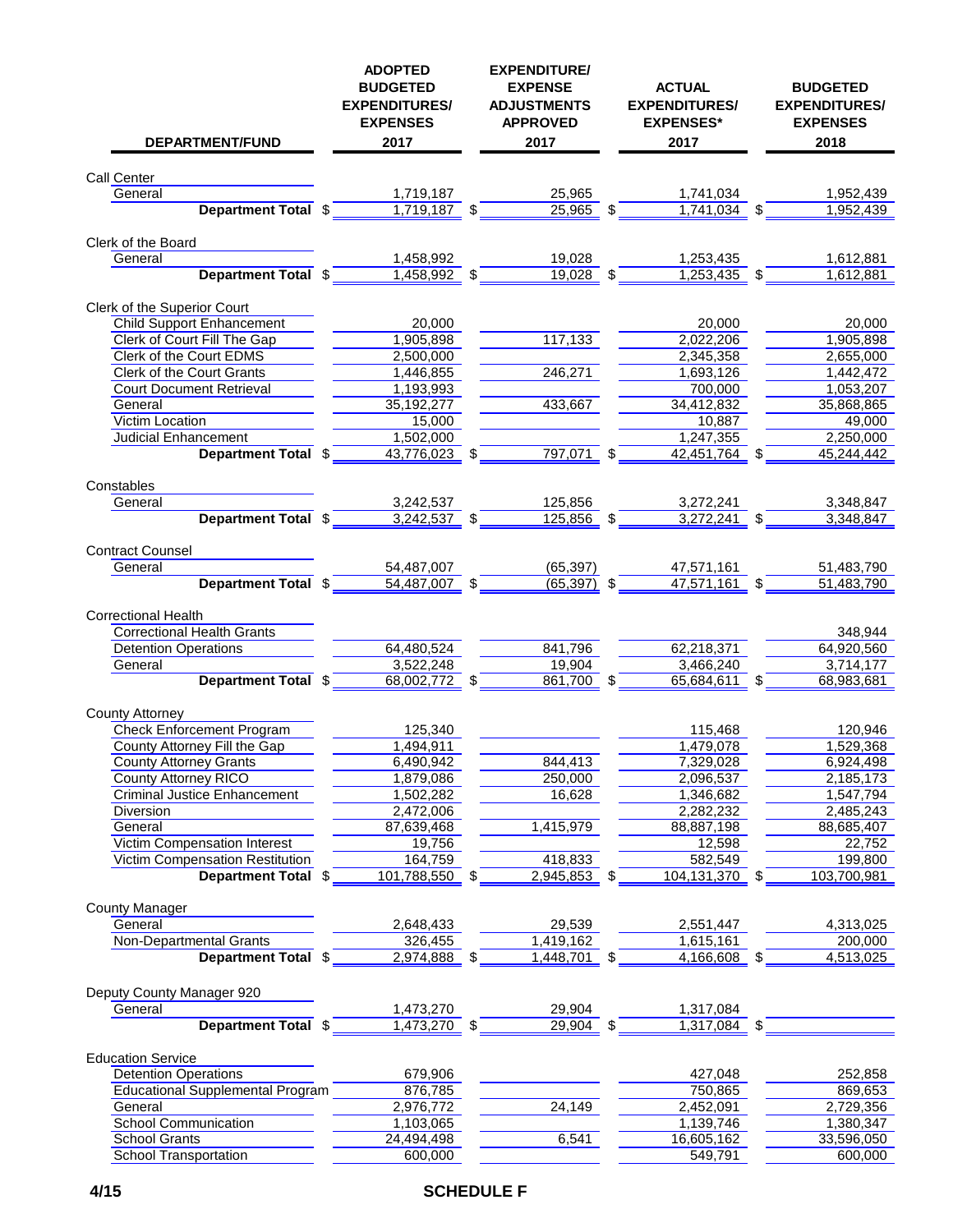| <b>DEPARTMENT/FUND</b>                         | <b>ADOPTED</b><br><b>BUDGETED</b><br><b>EXPENDITURES/</b><br><b>EXPENSES</b><br>2017 | <b>EXPENDITURE/</b><br><b>EXPENSE</b><br><b>ADJUSTMENTS</b><br><b>APPROVED</b><br>2017 |     | <b>ACTUAL</b><br><b>EXPENDITURES/</b><br><b>EXPENSES*</b><br>2017 | <b>BUDGETED</b><br><b>EXPENDITURES/</b><br><b>EXPENSES</b><br>2018 |
|------------------------------------------------|--------------------------------------------------------------------------------------|----------------------------------------------------------------------------------------|-----|-------------------------------------------------------------------|--------------------------------------------------------------------|
| Call Center                                    |                                                                                      |                                                                                        |     |                                                                   |                                                                    |
| General                                        | 1,719,187                                                                            | 25,965                                                                                 |     | 1,741,034                                                         | 1,952,439                                                          |
| Department Total \$                            | $1,719,187$ \$                                                                       | 25,965 \$                                                                              |     | $1,741,034$ \$                                                    | 1,952,439                                                          |
| Clerk of the Board                             |                                                                                      |                                                                                        |     |                                                                   |                                                                    |
| General                                        | 1,458,992                                                                            | 19,028                                                                                 |     | 1,253,435                                                         | 1,612,881                                                          |
| <b>Department Total \$</b>                     | 1,458,992 \$                                                                         | $19,028$ \$                                                                            |     | $1,253,435$ \$                                                    | 1,612,881                                                          |
| Clerk of the Superior Court                    |                                                                                      |                                                                                        |     |                                                                   |                                                                    |
| <b>Child Support Enhancement</b>               | 20,000                                                                               |                                                                                        |     | 20,000                                                            | 20,000                                                             |
| Clerk of Court Fill The Gap                    | 1,905,898                                                                            | 117,133                                                                                |     | 2,022,206                                                         | 1,905,898                                                          |
| Clerk of the Court EDMS                        | 2,500,000                                                                            |                                                                                        |     | 2,345,358                                                         | 2,655,000                                                          |
| <b>Clerk of the Court Grants</b>               | 1,446,855                                                                            | 246,271                                                                                |     | 1,693,126                                                         | 1,442,472                                                          |
| <b>Court Document Retrieval</b>                | 1,193,993                                                                            |                                                                                        |     | 700,000                                                           | 1,053,207                                                          |
| General                                        | 35,192,277                                                                           | 433,667                                                                                |     | 34,412,832                                                        | 35,868,865                                                         |
| Victim Location                                | 15,000                                                                               |                                                                                        |     | 10,887                                                            | 49,000                                                             |
| Judicial Enhancement                           | 1,502,000                                                                            |                                                                                        |     | 1,247,355                                                         | 2,250,000                                                          |
| Department Total \$                            | 43,776,023 \$                                                                        | 797,071                                                                                | \$  | 42,451,764 \$                                                     | 45,244,442                                                         |
| Constables                                     |                                                                                      |                                                                                        |     |                                                                   |                                                                    |
| General                                        | 3,242,537                                                                            | 125,856                                                                                |     | 3,272,241                                                         | 3,348,847                                                          |
| Department Total \$                            | $3,242,537$ \$                                                                       | 125,856 \$                                                                             |     | 3,272,241 \$                                                      | 3,348,847                                                          |
| <b>Contract Counsel</b>                        |                                                                                      |                                                                                        |     |                                                                   |                                                                    |
| General                                        | 54,487,007                                                                           | (65, 397)                                                                              |     | 47,571,161                                                        | 51,483,790                                                         |
| Department Total \$                            | 54,487,007 \$                                                                        | $(65,397)$ \$                                                                          |     | $47,571,161$ \$                                                   | 51,483,790                                                         |
| <b>Correctional Health</b>                     |                                                                                      |                                                                                        |     |                                                                   |                                                                    |
| <b>Correctional Health Grants</b>              |                                                                                      |                                                                                        |     |                                                                   | 348,944                                                            |
| <b>Detention Operations</b>                    | 64,480,524                                                                           | 841,796                                                                                |     | 62,218,371                                                        | 64,920,560                                                         |
| General<br>Department Total \$                 | 3,522,248<br>68,002,772 \$                                                           | 19.904<br>861,700                                                                      | -\$ | 3,466,240<br>65,684,611 \$                                        | 3,714,177<br>68,983,681                                            |
|                                                |                                                                                      |                                                                                        |     |                                                                   |                                                                    |
| <b>County Attorney</b>                         |                                                                                      |                                                                                        |     |                                                                   |                                                                    |
| <b>Check Enforcement Program</b>               | 125,340                                                                              |                                                                                        |     | 115,468                                                           | 120,946                                                            |
| County Attorney Fill the Gap                   | 1.494.911                                                                            |                                                                                        |     | 1,479,078                                                         | 1,529,368                                                          |
| <b>County Attorney Grants</b>                  | 6,490,942                                                                            | 844,413                                                                                |     | 7,329,028                                                         | 6,924,498                                                          |
| County Attorney RICO                           | 1,879,086                                                                            | 250,000                                                                                |     | 2,096,537                                                         | 2,185,173                                                          |
| <b>Criminal Justice Enhancement</b>            | 1,502,282                                                                            | 16,628                                                                                 |     | 1,346,682                                                         | 1,547,794                                                          |
| Diversion                                      | 2,472,006                                                                            |                                                                                        |     | 2,282,232                                                         | 2,485,243                                                          |
| General<br><b>Victim Compensation Interest</b> | 87,639,468<br>19,756                                                                 | 1,415,979                                                                              |     | 88,887,198<br>12,598                                              | 88,685,407<br>22,752                                               |
| Victim Compensation Restitution                | 164,759                                                                              | 418,833                                                                                |     | 582,549                                                           | 199,800                                                            |
| Department Total \$                            | 101,788,550 \$                                                                       | 2,945,853 \$                                                                           |     | 104,131,370 \$                                                    | 103,700,981                                                        |
| <b>County Manager</b>                          |                                                                                      |                                                                                        |     |                                                                   |                                                                    |
| General                                        | 2,648,433                                                                            | 29,539                                                                                 |     | 2,551,447                                                         | 4,313,025                                                          |
| Non-Departmental Grants                        | 326,455                                                                              | 1,419,162                                                                              |     | 1,615,161                                                         | 200,000                                                            |
| Department Total \$                            | $2,974,888$ \$                                                                       | $1,448,701$ \$                                                                         |     | 4,166,608 \$                                                      | 4,513,025                                                          |
| Deputy County Manager 920                      |                                                                                      |                                                                                        |     |                                                                   |                                                                    |
| General                                        | 1,473,270                                                                            | 29,904                                                                                 |     | 1,317,084                                                         |                                                                    |
| Department Total \$                            | $1,473,270$ \$                                                                       | $29,904$ \$                                                                            |     | 1,317,084 \$                                                      |                                                                    |
| <b>Education Service</b>                       |                                                                                      |                                                                                        |     |                                                                   |                                                                    |
| <b>Detention Operations</b>                    | 679,906                                                                              |                                                                                        |     | 427,048                                                           | 252,858                                                            |
| <b>Educational Supplemental Program</b>        | 876,785                                                                              |                                                                                        |     | 750,865                                                           | 869,653                                                            |
| General                                        | 2,976,772                                                                            | 24,149                                                                                 |     | 2,452,091                                                         | 2,729,356                                                          |
| School Communication                           | 1,103,065                                                                            |                                                                                        |     | 1,139,746                                                         | 1,380,347                                                          |
| <b>School Grants</b>                           | 24,494,498                                                                           | 6,541                                                                                  |     | 16,605,162                                                        | 33,596,050                                                         |
| School Transportation                          | 600,000                                                                              |                                                                                        |     | 549,791                                                           | 600,000                                                            |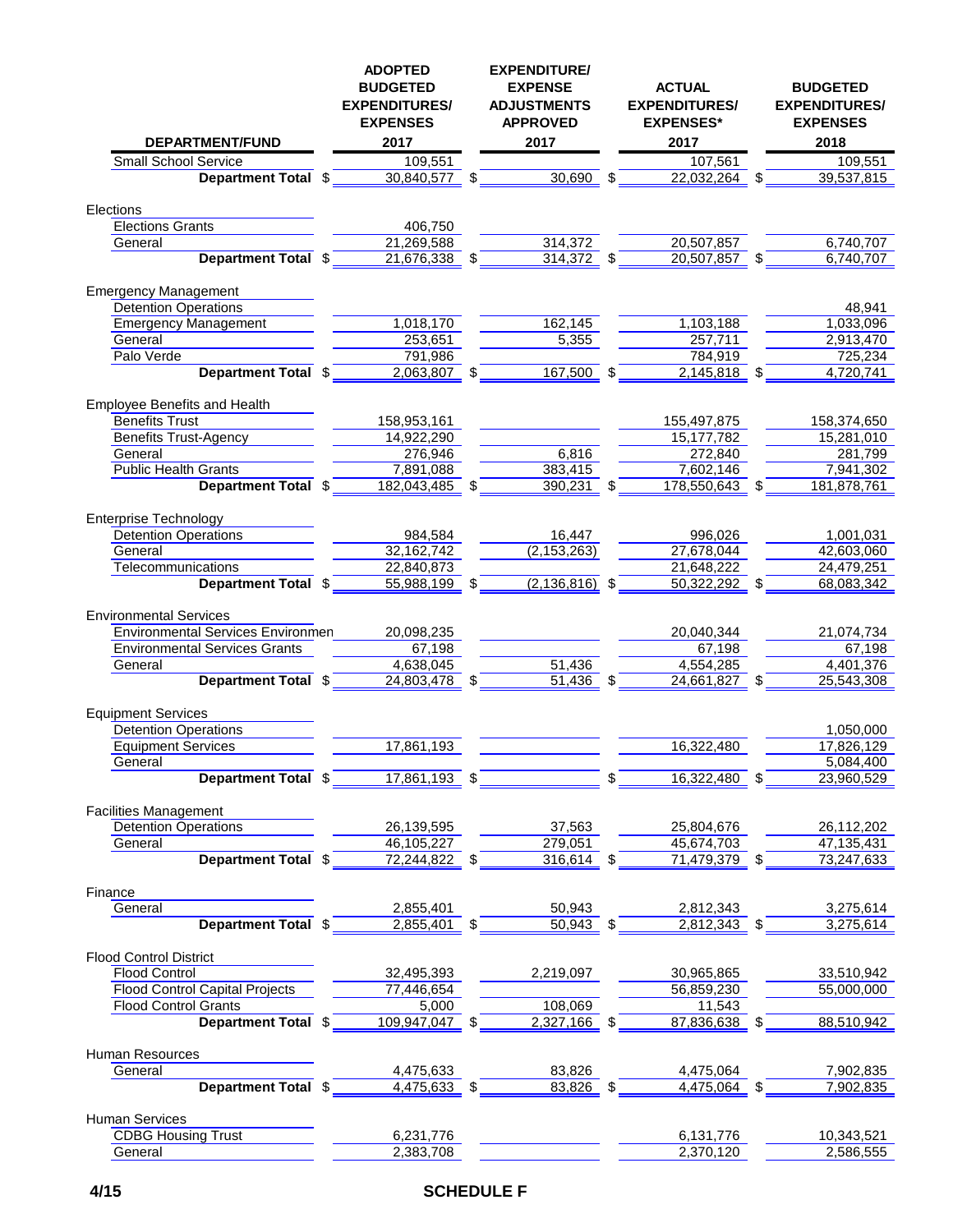| <b>DEPARTMENT/FUND</b>                   |   | <b>ADOPTED</b><br><b>BUDGETED</b><br><b>EXPENDITURES/</b><br><b>EXPENSES</b><br>2017 |     | <b>EXPENDITURE/</b><br><b>EXPENSE</b><br><b>ADJUSTMENTS</b><br><b>APPROVED</b><br>2017 |     | <b>ACTUAL</b><br><b>EXPENDITURES/</b><br><b>EXPENSES*</b><br>2017 |     | <b>BUDGETED</b><br><b>EXPENDITURES/</b><br><b>EXPENSES</b><br>2018 |
|------------------------------------------|---|--------------------------------------------------------------------------------------|-----|----------------------------------------------------------------------------------------|-----|-------------------------------------------------------------------|-----|--------------------------------------------------------------------|
| <b>Small School Service</b>              |   | 109,551                                                                              |     |                                                                                        |     | 107,561                                                           |     | 109,551                                                            |
| <b>Department Total</b>                  | S | 30,840,577 \$                                                                        |     | 30,690                                                                                 | -\$ | 22,032,264                                                        | -\$ | 39,537,815                                                         |
|                                          |   |                                                                                      |     |                                                                                        |     |                                                                   |     |                                                                    |
| Elections                                |   |                                                                                      |     |                                                                                        |     |                                                                   |     |                                                                    |
| <b>Elections Grants</b>                  |   | 406,750                                                                              |     |                                                                                        |     |                                                                   |     |                                                                    |
| General                                  |   | 21,269,588                                                                           |     | 314,372                                                                                |     | 20,507,857                                                        |     | 6,740,707                                                          |
| Department Total \$                      |   | 21,676,338                                                                           |     | 314,372                                                                                |     | 20,507,857                                                        |     | 6,740,707                                                          |
|                                          |   |                                                                                      |     |                                                                                        |     |                                                                   |     |                                                                    |
| <b>Emergency Management</b>              |   |                                                                                      |     |                                                                                        |     |                                                                   |     |                                                                    |
| <b>Detention Operations</b>              |   |                                                                                      |     |                                                                                        |     |                                                                   |     | 48,941                                                             |
| <b>Emergency Management</b>              |   | 1,018,170                                                                            |     | 162,145                                                                                |     | 1,103,188                                                         |     | 1,033,096                                                          |
| General                                  |   | 253,651                                                                              |     | 5,355                                                                                  |     | 257,711                                                           |     | 2,913,470                                                          |
| Palo Verde                               |   | 791,986                                                                              |     |                                                                                        |     | 784,919                                                           |     | 725,234                                                            |
| Department Total \$                      |   | 2,063,807 \$                                                                         |     | 167,500 \$                                                                             |     | $2,145,818$ \$                                                    |     | 4,720,741                                                          |
|                                          |   |                                                                                      |     |                                                                                        |     |                                                                   |     |                                                                    |
| Employee Benefits and Health             |   |                                                                                      |     |                                                                                        |     |                                                                   |     |                                                                    |
| <b>Benefits Trust</b>                    |   | 158,953,161                                                                          |     |                                                                                        |     | 155,497,875                                                       |     | 158,374,650                                                        |
| <b>Benefits Trust-Agency</b>             |   | 14,922,290                                                                           |     |                                                                                        |     | 15, 177, 782                                                      |     | 15,281,010                                                         |
| General                                  |   | 276,946                                                                              |     | 6,816                                                                                  |     | 272,840                                                           |     | 281,799                                                            |
| <b>Public Health Grants</b>              |   | 7,891,088                                                                            |     | 383,415                                                                                |     | 7,602,146                                                         |     | 7,941,302                                                          |
| Department Total \$                      |   | 182,043,485                                                                          | S   | 390,231                                                                                |     | 178,550,643                                                       | \$  | 181,878,761                                                        |
|                                          |   |                                                                                      |     |                                                                                        |     |                                                                   |     |                                                                    |
| <b>Enterprise Technology</b>             |   |                                                                                      |     |                                                                                        |     |                                                                   |     |                                                                    |
| <b>Detention Operations</b>              |   | 984,584                                                                              |     | 16,447                                                                                 |     | 996,026                                                           |     | 1,001,031                                                          |
| General                                  |   | 32,162,742                                                                           |     | (2, 153, 263)                                                                          |     | 27,678,044                                                        |     | 42,603,060                                                         |
| Telecommunications                       |   | 22,840,873                                                                           |     |                                                                                        |     | 21,648,222                                                        |     | 24,479,251                                                         |
| Department Total \$                      |   | 55,988,199                                                                           | -\$ | $(2, 136, 816)$ \$                                                                     |     | 50,322,292 \$                                                     |     | 68,083,342                                                         |
|                                          |   |                                                                                      |     |                                                                                        |     |                                                                   |     |                                                                    |
| <b>Environmental Services</b>            |   |                                                                                      |     |                                                                                        |     |                                                                   |     |                                                                    |
| <b>Environmental Services Environmen</b> |   | 20,098,235                                                                           |     |                                                                                        |     | 20,040,344                                                        |     | 21,074,734                                                         |
| <b>Environmental Services Grants</b>     |   | 67,198                                                                               |     |                                                                                        |     | 67,198                                                            |     | 67,198                                                             |
| General                                  |   | 4,638,045                                                                            |     | 51,436                                                                                 |     | 4,554,285                                                         |     | 4,401,376                                                          |
| Department Total \$                      |   | 24,803,478                                                                           | \$  | 51,436                                                                                 | -\$ | 24,661,827 \$                                                     |     | 25,543,308                                                         |
|                                          |   |                                                                                      |     |                                                                                        |     |                                                                   |     |                                                                    |
| <b>Equipment Services</b>                |   |                                                                                      |     |                                                                                        |     |                                                                   |     |                                                                    |
| <b>Detention Operations</b>              |   |                                                                                      |     |                                                                                        |     |                                                                   |     | 1,050,000                                                          |
| <b>Equipment Services</b>                |   | 17,861,193                                                                           |     |                                                                                        |     | 16,322,480                                                        |     | 17,826,129                                                         |
|                                          |   |                                                                                      |     |                                                                                        |     |                                                                   |     | 5,084,400                                                          |
| General<br><b>Department Total \$</b>    |   | $17,861,193$ \$                                                                      |     |                                                                                        | \$  | 16,322,480 \$                                                     |     | 23,960,529                                                         |
|                                          |   |                                                                                      |     |                                                                                        |     |                                                                   |     |                                                                    |
| <b>Facilities Management</b>             |   |                                                                                      |     |                                                                                        |     |                                                                   |     |                                                                    |
| <b>Detention Operations</b>              |   |                                                                                      |     |                                                                                        |     |                                                                   |     |                                                                    |
| General                                  |   | 26,139,595                                                                           |     | 37,563                                                                                 |     | 25,804,676                                                        |     | 26,112,202                                                         |
| Department Total \$                      |   | 46,105,227<br>72,244,822 \$                                                          |     | 279,051<br>$316,614$ \$                                                                |     | 45,674,703<br>71,479,379 \$                                       |     | 47,135,431                                                         |
|                                          |   |                                                                                      |     |                                                                                        |     |                                                                   |     | 73,247,633                                                         |
| Finance                                  |   |                                                                                      |     |                                                                                        |     |                                                                   |     |                                                                    |
| General                                  |   |                                                                                      |     |                                                                                        |     |                                                                   |     |                                                                    |
| Department Total \$                      |   | 2,855,401                                                                            |     | 50,943                                                                                 |     | 2,812,343                                                         |     | 3,275,614                                                          |
|                                          |   | $2,855,401$ \$                                                                       |     | $50,943$ \$                                                                            |     | $2,812,343$ \$                                                    |     | 3,275,614                                                          |
|                                          |   |                                                                                      |     |                                                                                        |     |                                                                   |     |                                                                    |
| <b>Flood Control District</b>            |   |                                                                                      |     |                                                                                        |     |                                                                   |     |                                                                    |
| <b>Flood Control</b>                     |   | 32,495,393                                                                           |     | 2,219,097                                                                              |     | 30,965,865                                                        |     | 33,510,942                                                         |
| <b>Flood Control Capital Projects</b>    |   | 77,446,654                                                                           |     |                                                                                        |     | 56,859,230                                                        |     | 55,000,000                                                         |
| <b>Flood Control Grants</b>              |   | 5,000                                                                                |     | 108,069                                                                                |     | 11,543                                                            |     |                                                                    |
| Department Total \$                      |   | 109,947,047 \$                                                                       |     | $2,327,166$ \$                                                                         |     | 87,836,638 \$                                                     |     | 88,510,942                                                         |
|                                          |   |                                                                                      |     |                                                                                        |     |                                                                   |     |                                                                    |
| Human Resources                          |   |                                                                                      |     |                                                                                        |     |                                                                   |     |                                                                    |
| General                                  |   | 4,475,633                                                                            |     | 83,826                                                                                 |     | 4,475,064                                                         |     | 7,902,835                                                          |
| Department Total \$                      |   | 4,475,633                                                                            |     | 83,826                                                                                 |     | 4,475,064                                                         |     | 7,902,835                                                          |
|                                          |   |                                                                                      |     |                                                                                        |     |                                                                   |     |                                                                    |
| <b>Human Services</b>                    |   |                                                                                      |     |                                                                                        |     |                                                                   |     |                                                                    |
| <b>CDBG Housing Trust</b>                |   | 6,231,776                                                                            |     |                                                                                        |     | 6,131,776                                                         |     | 10,343,521                                                         |
| General                                  |   | 2,383,708                                                                            |     |                                                                                        |     | 2,370,120                                                         |     | 2,586,555                                                          |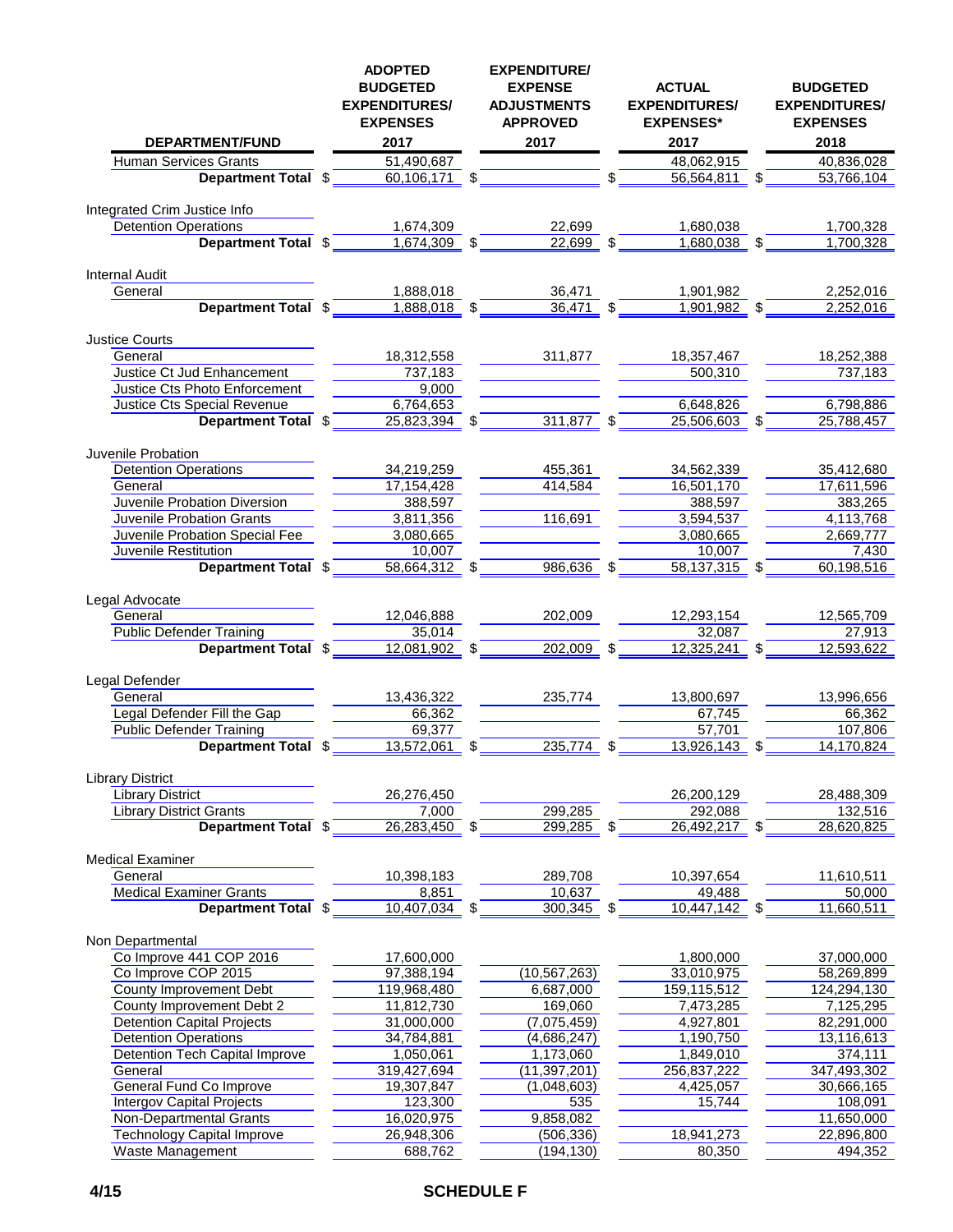| <b>DEPARTMENT/FUND</b>                                      |    | <b>ADOPTED</b><br><b>BUDGETED</b><br><b>EXPENDITURES/</b><br><b>EXPENSES</b><br>2017 | <b>EXPENDITURE/</b><br><b>EXPENSE</b><br><b>ADJUSTMENTS</b><br><b>APPROVED</b><br>2017 |      |  | <b>ACTUAL</b><br><b>EXPENDITURES/</b><br><b>EXPENSES*</b><br>2017 |     | <b>BUDGETED</b><br><b>EXPENDITURES/</b><br><b>EXPENSES</b><br>2018 |  |
|-------------------------------------------------------------|----|--------------------------------------------------------------------------------------|----------------------------------------------------------------------------------------|------|--|-------------------------------------------------------------------|-----|--------------------------------------------------------------------|--|
|                                                             |    |                                                                                      |                                                                                        |      |  |                                                                   |     | 40,836,028                                                         |  |
| <b>Human Services Grants</b>                                |    | 51,490,687                                                                           |                                                                                        |      |  | 48,062,915<br>56,564,811                                          | -\$ |                                                                    |  |
| Department Total \$                                         |    | 60,106,171                                                                           | \$                                                                                     |      |  |                                                                   |     | 53,766,104                                                         |  |
| Integrated Crim Justice Info                                |    |                                                                                      |                                                                                        |      |  |                                                                   |     |                                                                    |  |
| <b>Detention Operations</b>                                 |    | 1,674,309                                                                            | 22.699                                                                                 |      |  | 1,680,038                                                         |     | 1,700,328                                                          |  |
| Department Total \$                                         |    | 1,674,309 \$                                                                         | 22,699                                                                                 |      |  | $1,680,038$ \$                                                    |     | 1,700,328                                                          |  |
|                                                             |    |                                                                                      |                                                                                        |      |  |                                                                   |     |                                                                    |  |
| <b>Internal Audit</b><br>General                            |    | 1,888,018                                                                            | 36,471                                                                                 |      |  | 1,901,982                                                         |     | 2,252,016                                                          |  |
| Department Total \$                                         |    | 1,888,018 \$                                                                         | 36,471 \$                                                                              |      |  | 1,901,982 \$                                                      |     | 2,252,016                                                          |  |
|                                                             |    |                                                                                      |                                                                                        |      |  |                                                                   |     |                                                                    |  |
| <b>Justice Courts</b>                                       |    |                                                                                      |                                                                                        |      |  |                                                                   |     |                                                                    |  |
| General                                                     |    | 18,312,558                                                                           | 311,877                                                                                |      |  | 18,357,467                                                        |     | 18,252,388                                                         |  |
| Justice Ct Jud Enhancement<br>Justice Cts Photo Enforcement |    | 737,183<br>9,000                                                                     |                                                                                        |      |  | 500,310                                                           |     | 737,183                                                            |  |
| Justice Cts Special Revenue                                 |    | 6,764,653                                                                            |                                                                                        |      |  | 6,648,826                                                         |     | 6,798,886                                                          |  |
| <b>Department Total</b>                                     | \$ | 25,823,394 \$                                                                        | 311,877 \$                                                                             |      |  | 25,506,603 \$                                                     |     | 25,788,457                                                         |  |
|                                                             |    |                                                                                      |                                                                                        |      |  |                                                                   |     |                                                                    |  |
| Juvenile Probation                                          |    |                                                                                      |                                                                                        |      |  |                                                                   |     |                                                                    |  |
| <b>Detention Operations</b>                                 |    | 34,219,259                                                                           | 455,361                                                                                |      |  | 34,562,339                                                        |     | 35,412,680                                                         |  |
| General                                                     |    | 17,154,428                                                                           | 414,584                                                                                |      |  | 16,501,170                                                        |     | 17,611,596                                                         |  |
| Juvenile Probation Diversion                                |    | 388,597                                                                              |                                                                                        |      |  | 388,597                                                           |     | 383,265                                                            |  |
| Juvenile Probation Grants                                   |    | 3,811,356                                                                            | 116,691                                                                                |      |  | 3,594,537                                                         |     | 4,113,768                                                          |  |
| Juvenile Probation Special Fee<br>Juvenile Restitution      |    | 3,080,665<br>10,007                                                                  |                                                                                        |      |  | 3,080,665<br>10,007                                               |     | 2,669,777                                                          |  |
| Department Total \$                                         |    | $58,664,312$ \$                                                                      | 986,636 \$                                                                             |      |  | 58,137,315 \$                                                     |     | 7,430<br>60,198,516                                                |  |
|                                                             |    |                                                                                      |                                                                                        |      |  |                                                                   |     |                                                                    |  |
| Legal Advocate                                              |    |                                                                                      |                                                                                        |      |  |                                                                   |     |                                                                    |  |
| General                                                     |    | 12,046,888                                                                           | 202,009                                                                                |      |  | 12,293,154                                                        |     | 12,565,709                                                         |  |
| <b>Public Defender Training</b>                             |    | 35,014                                                                               |                                                                                        |      |  | 32,087                                                            |     | 27,913                                                             |  |
| Department Total \$                                         |    | $12,081,902$ \$                                                                      | $202,009$ \$                                                                           |      |  | 12,325,241                                                        |     | 12,593,622                                                         |  |
| Legal Defender                                              |    |                                                                                      |                                                                                        |      |  |                                                                   |     |                                                                    |  |
| General                                                     |    | 13,436,322                                                                           | 235,774                                                                                |      |  | 13,800,697                                                        |     | 13,996,656                                                         |  |
| Legal Defender Fill the Gap                                 |    | 66,362                                                                               |                                                                                        |      |  | 67,745                                                            |     | 66,362                                                             |  |
| <b>Public Defender Training</b>                             |    | 69,377                                                                               |                                                                                        |      |  | 57,701                                                            |     | 107,806                                                            |  |
| Department Total \$                                         |    | 13,572,061                                                                           | 235,774                                                                                | -\$  |  | 13,926,143                                                        | \$  | 14,170,824                                                         |  |
|                                                             |    |                                                                                      |                                                                                        |      |  |                                                                   |     |                                                                    |  |
| <b>Library District</b><br><b>Library District</b>          |    | 26,276,450                                                                           |                                                                                        |      |  | 26,200,129                                                        |     | 28,488,309                                                         |  |
| <b>Library District Grants</b>                              |    | 7,000                                                                                | 299,285                                                                                |      |  | 292,088                                                           |     | 132,516                                                            |  |
| <b>Department Total \$</b>                                  |    | $26,283,450$ \$                                                                      | 299,285                                                                                | - \$ |  | $26,492,217$ \$                                                   |     | 28,620,825                                                         |  |
|                                                             |    |                                                                                      |                                                                                        |      |  |                                                                   |     |                                                                    |  |
| <b>Medical Examiner</b>                                     |    |                                                                                      |                                                                                        |      |  |                                                                   |     |                                                                    |  |
| General                                                     |    | 10,398,183                                                                           | 289,708                                                                                |      |  | 10,397,654                                                        |     | 11,610,511                                                         |  |
| <b>Medical Examiner Grants</b><br>Department Total \$       |    | 8,851<br>10,407,034                                                                  | 10,637<br>300,345                                                                      |      |  | 49,488<br>10,447,142                                              | -\$ | 50,000<br>11,660,511                                               |  |
|                                                             |    |                                                                                      |                                                                                        | - \$ |  |                                                                   |     |                                                                    |  |
| Non Departmental                                            |    |                                                                                      |                                                                                        |      |  |                                                                   |     |                                                                    |  |
| Co Improve 441 COP 2016                                     |    | 17,600,000                                                                           |                                                                                        |      |  | 1,800,000                                                         |     | 37,000,000                                                         |  |
| Co Improve COP 2015                                         |    | 97,388,194                                                                           | (10, 567, 263)                                                                         |      |  | 33,010,975                                                        |     | 58,269,899                                                         |  |
| County Improvement Debt                                     |    | 119,968,480                                                                          | 6,687,000                                                                              |      |  | 159,115,512                                                       |     | 124,294,130                                                        |  |
| County Improvement Debt 2                                   |    | 11,812,730                                                                           | 169,060                                                                                |      |  | 7,473,285                                                         |     | 7,125,295                                                          |  |
| <b>Detention Capital Projects</b>                           |    | 31,000,000                                                                           | (7,075,459)                                                                            |      |  | 4,927,801                                                         |     | 82,291,000                                                         |  |
| <b>Detention Operations</b>                                 |    | 34,784,881                                                                           | (4,686,247)                                                                            |      |  | 1,190,750                                                         |     | 13,116,613                                                         |  |
| Detention Tech Capital Improve                              |    | 1,050,061                                                                            | 1,173,060                                                                              |      |  | 1,849,010                                                         |     | 374,111                                                            |  |
| General<br><b>General Fund Co Improve</b>                   |    | 319,427,694<br>19,307,847                                                            | (11, 397, 201)<br>(1,048,603)                                                          |      |  | 256,837,222<br>4,425,057                                          |     | 347,493,302<br>30,666,165                                          |  |
| Intergov Capital Projects                                   |    | 123,300                                                                              | 535                                                                                    |      |  | 15,744                                                            |     | 108,091                                                            |  |
| Non-Departmental Grants                                     |    | 16,020,975                                                                           | 9,858,082                                                                              |      |  |                                                                   |     | 11,650,000                                                         |  |
| <b>Technology Capital Improve</b>                           |    | 26,948,306                                                                           | (506, 336)                                                                             |      |  | 18,941,273                                                        |     | 22,896,800                                                         |  |
| Waste Management                                            |    | 688,762                                                                              | (194, 130)                                                                             |      |  | 80,350                                                            |     | 494,352                                                            |  |
|                                                             |    |                                                                                      |                                                                                        |      |  |                                                                   |     |                                                                    |  |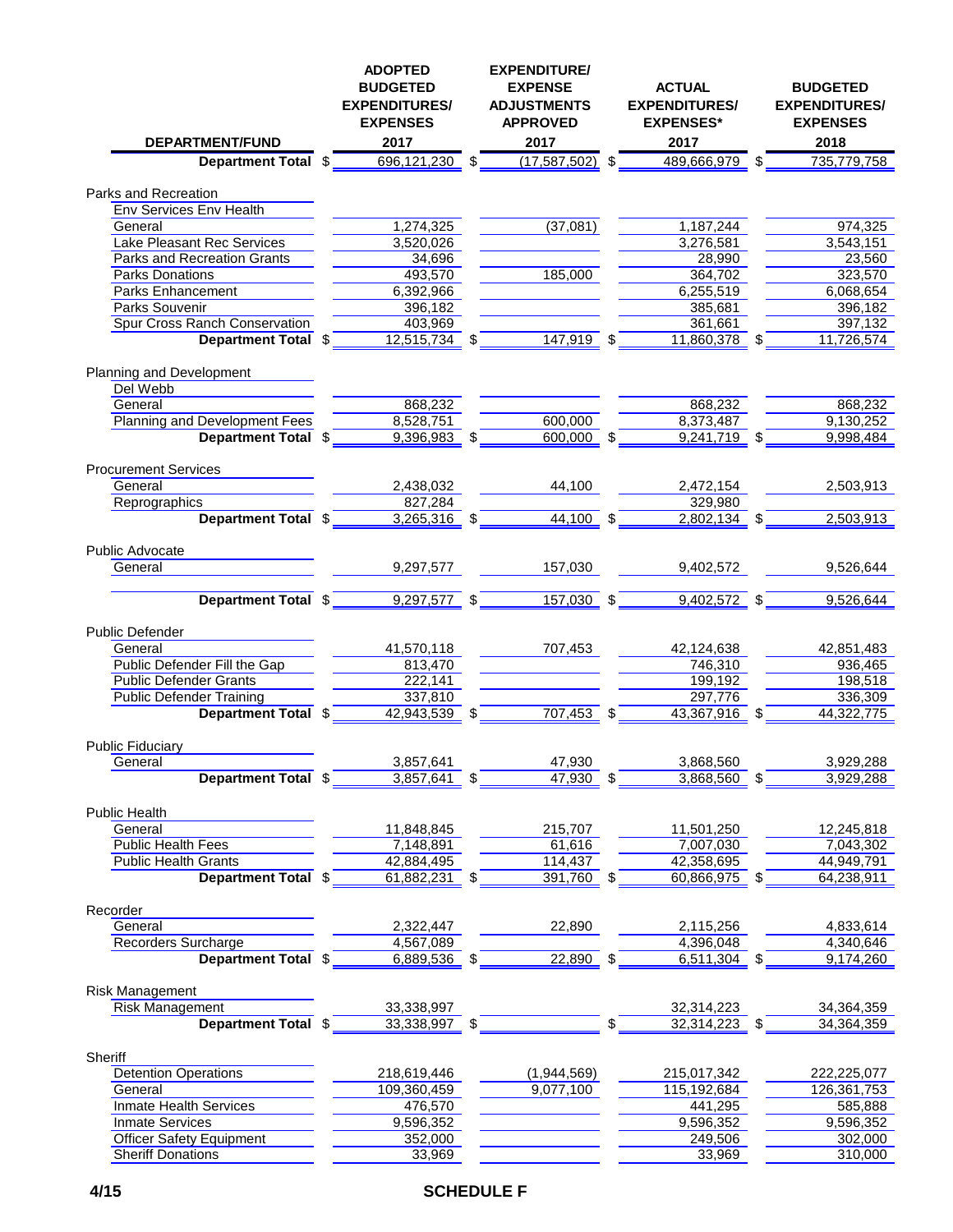| <b>DEPARTMENT/FUND</b>                               | <b>ADOPTED</b><br><b>BUDGETED</b><br><b>EXPENDITURES/</b><br><b>EXPENSES</b><br>2017 | <b>EXPENDITURE/</b><br><b>EXPENSE</b><br><b>ADJUSTMENTS</b><br><b>APPROVED</b><br>2017 |     | <b>ACTUAL</b><br><b>EXPENDITURES/</b><br><b>EXPENSES*</b><br>2017 | <b>BUDGETED</b><br><b>EXPENDITURES/</b><br><b>EXPENSES</b><br>2018 |
|------------------------------------------------------|--------------------------------------------------------------------------------------|----------------------------------------------------------------------------------------|-----|-------------------------------------------------------------------|--------------------------------------------------------------------|
| <b>Department Total</b>                              | \$<br>696,121,230                                                                    | \$<br>$(17,587,502)$ \$                                                                |     | 489,666,979                                                       | \$<br>735,779,758                                                  |
|                                                      |                                                                                      |                                                                                        |     |                                                                   |                                                                    |
| Parks and Recreation<br>Env Services Env Health      |                                                                                      |                                                                                        |     |                                                                   |                                                                    |
| General                                              | 1,274,325                                                                            | (37,081)                                                                               |     | 1,187,244                                                         | 974,325                                                            |
| Lake Pleasant Rec Services                           | 3,520,026                                                                            |                                                                                        |     | 3,276,581                                                         | 3,543,151                                                          |
| <b>Parks and Recreation Grants</b>                   | 34,696                                                                               |                                                                                        |     | 28,990                                                            | 23,560                                                             |
| <b>Parks Donations</b>                               | 493,570                                                                              | 185,000                                                                                |     | 364,702                                                           | 323,570                                                            |
| <b>Parks Enhancement</b>                             | 6,392,966                                                                            |                                                                                        |     | 6,255,519                                                         | 6,068,654                                                          |
| Parks Souvenir                                       | 396,182                                                                              |                                                                                        |     | 385,681                                                           | 396,182                                                            |
| Spur Cross Ranch Conservation                        | 403,969                                                                              |                                                                                        |     | 361,661                                                           | 397,132                                                            |
| Department Total \$                                  | 12,515,734                                                                           | 147,919                                                                                | -\$ | 11,860,378                                                        | 11,726,574                                                         |
|                                                      |                                                                                      |                                                                                        |     |                                                                   |                                                                    |
| Planning and Development                             |                                                                                      |                                                                                        |     |                                                                   |                                                                    |
| Del Webb                                             |                                                                                      |                                                                                        |     |                                                                   |                                                                    |
| General                                              | 868,232                                                                              |                                                                                        |     | 868,232                                                           | 868,232                                                            |
| Planning and Development Fees<br>Department Total \$ | 8,528,751<br>9,396,983 \$                                                            | 600,000<br>$600,000$ \$                                                                |     | 8,373,487<br>$\overline{9,241,719}$ \$                            | 9,130,252<br>9,998,484                                             |
|                                                      |                                                                                      |                                                                                        |     |                                                                   |                                                                    |
| <b>Procurement Services</b>                          |                                                                                      |                                                                                        |     |                                                                   |                                                                    |
| General                                              | 2,438,032                                                                            | 44,100                                                                                 |     | 2,472,154                                                         | 2,503,913                                                          |
| Reprographics                                        | 827,284                                                                              |                                                                                        |     | 329,980                                                           |                                                                    |
| Department Total \$                                  | 3,265,316 \$                                                                         | 44,100 \$                                                                              |     | 2,802,134 \$                                                      | 2,503,913                                                          |
|                                                      |                                                                                      |                                                                                        |     |                                                                   |                                                                    |
| <b>Public Advocate</b>                               |                                                                                      |                                                                                        |     |                                                                   |                                                                    |
| General                                              | 9,297,577                                                                            | 157,030                                                                                |     | 9,402,572                                                         | 9,526,644                                                          |
|                                                      |                                                                                      |                                                                                        |     |                                                                   |                                                                    |
| Department Total \$                                  | 9,297,577 \$                                                                         | $157,030$ \$                                                                           |     | $9,402,572$ \$                                                    | 9,526,644                                                          |
| <b>Public Defender</b>                               |                                                                                      |                                                                                        |     |                                                                   |                                                                    |
| General                                              | 41,570,118                                                                           | 707,453                                                                                |     | 42,124,638                                                        | 42,851,483                                                         |
| Public Defender Fill the Gap                         | 813,470                                                                              |                                                                                        |     | 746,310                                                           | 936,465                                                            |
| <b>Public Defender Grants</b>                        | 222,141                                                                              |                                                                                        |     | 199,192                                                           | 198,518                                                            |
| <b>Public Defender Training</b>                      | 337,810                                                                              |                                                                                        |     | 297,776                                                           | 336,309                                                            |
| Department Total \$                                  | 42,943,539 \$                                                                        | $707,453$ \$                                                                           |     | 43,367,916 \$                                                     | 44,322,775                                                         |
|                                                      |                                                                                      |                                                                                        |     |                                                                   |                                                                    |
| <b>Public Fiduciary</b><br>General                   | 3,857,641                                                                            | 47,930                                                                                 |     | 3,868,560                                                         | 3,929,288                                                          |
| <b>Department Total \$</b>                           | 3,857,641                                                                            | 47,930                                                                                 |     | 3,868,560                                                         | 3,929,288                                                          |
|                                                      |                                                                                      |                                                                                        |     |                                                                   |                                                                    |
| Public Health                                        |                                                                                      |                                                                                        |     |                                                                   |                                                                    |
| General                                              | 11,848,845                                                                           | 215,707                                                                                |     | 11,501,250                                                        | 12,245,818                                                         |
| Public Health Fees                                   | 7,148,891                                                                            | 61,616                                                                                 |     | 7,007,030                                                         | 7,043,302                                                          |
| <b>Public Health Grants</b>                          | 42,884,495                                                                           | 114,437                                                                                |     | 42,358,695                                                        | 44,949,791                                                         |
| Department Total \$                                  | $61,882,231$ \$                                                                      | 391,760 \$                                                                             |     | 60,866,975 \$                                                     | 64,238,911                                                         |
|                                                      |                                                                                      |                                                                                        |     |                                                                   |                                                                    |
| Recorder<br>General                                  |                                                                                      |                                                                                        |     |                                                                   | 4,833,614                                                          |
| <b>Recorders Surcharge</b>                           | 2,322,447                                                                            | 22,890                                                                                 |     | 2,115,256<br>4,396,048                                            | 4,340,646                                                          |
| Department Total \$                                  | 4,567,089<br>$6,889,536$ \$                                                          | 22,890                                                                                 |     | 6,511,304                                                         | 9,174,260                                                          |
|                                                      |                                                                                      |                                                                                        |     |                                                                   |                                                                    |
| Risk Management                                      |                                                                                      |                                                                                        |     |                                                                   |                                                                    |
| Risk Management                                      | 33,338,997                                                                           |                                                                                        |     | 32,314,223                                                        | 34,364,359                                                         |
| Department Total \$                                  | 33,338,997 \$                                                                        |                                                                                        |     | 32,314,223                                                        | 34,364,359                                                         |
|                                                      |                                                                                      |                                                                                        |     |                                                                   |                                                                    |
| Sheriff                                              |                                                                                      |                                                                                        |     |                                                                   |                                                                    |
| <b>Detention Operations</b>                          | 218,619,446                                                                          | (1,944,569)                                                                            |     | 215,017,342                                                       | 222,225,077                                                        |
| General                                              | 109,360,459                                                                          | 9,077,100                                                                              |     | 115,192,684                                                       | 126,361,753                                                        |
| <b>Inmate Health Services</b>                        | 476,570                                                                              |                                                                                        |     | 441,295                                                           | 585,888                                                            |
| <b>Inmate Services</b>                               | 9,596,352                                                                            |                                                                                        |     | 9,596,352                                                         | 9,596,352                                                          |
| <b>Officer Safety Equipment</b>                      | 352,000                                                                              |                                                                                        |     | 249,506                                                           | 302,000                                                            |
| <b>Sheriff Donations</b>                             | 33,969                                                                               |                                                                                        |     | 33,969                                                            | 310,000                                                            |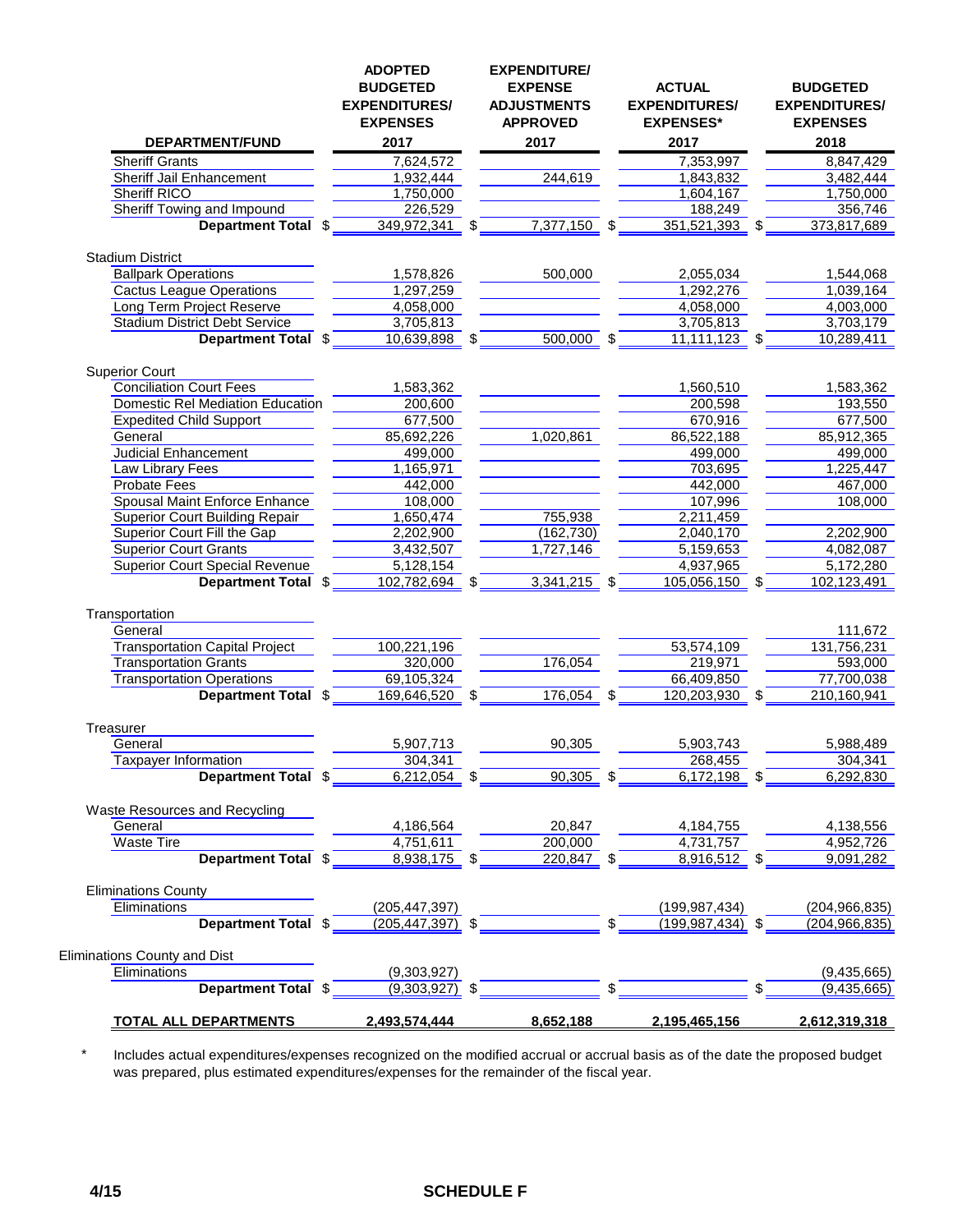|                                         | <b>ADOPTED</b><br><b>BUDGETED</b><br><b>EXPENDITURES/</b><br><b>EXPENSES</b> | <b>EXPENDITURE/</b><br><b>EXPENSE</b><br><b>ADJUSTMENTS</b><br><b>APPROVED</b> | <b>ACTUAL</b><br><b>EXPENDITURES/</b><br><b>EXPENSES*</b> | <b>BUDGETED</b><br><b>EXPENDITURES/</b><br><b>EXPENSES</b> |
|-----------------------------------------|------------------------------------------------------------------------------|--------------------------------------------------------------------------------|-----------------------------------------------------------|------------------------------------------------------------|
| <b>DEPARTMENT/FUND</b>                  | 2017                                                                         | 2017                                                                           | 2017                                                      | 2018                                                       |
| <b>Sheriff Grants</b>                   | 7,624,572                                                                    |                                                                                | 7,353,997                                                 | 8,847,429                                                  |
| Sheriff Jail Enhancement                | 1,932,444                                                                    | 244,619                                                                        | 1,843,832                                                 | 3,482,444                                                  |
| <b>Sheriff RICO</b>                     | 1,750,000                                                                    |                                                                                | 1,604,167                                                 | 1,750,000                                                  |
| Sheriff Towing and Impound              | 226,529                                                                      |                                                                                | 188,249                                                   | 356,746                                                    |
| Department Total \$                     | 349,972,341                                                                  | \$<br>7,377,150                                                                | \$<br>351,521,393<br>-\$                                  | 373,817,689                                                |
| <b>Stadium District</b>                 |                                                                              |                                                                                |                                                           |                                                            |
| <b>Ballpark Operations</b>              | 1,578,826                                                                    | 500,000                                                                        | 2,055,034                                                 | 1,544,068                                                  |
| <b>Cactus League Operations</b>         | 1,297,259                                                                    |                                                                                | 1,292,276                                                 | 1,039,164                                                  |
| Long Term Project Reserve               | 4,058,000                                                                    |                                                                                | 4,058,000                                                 | 4,003,000                                                  |
| <b>Stadium District Debt Service</b>    | 3,705,813                                                                    |                                                                                | 3,705,813                                                 | 3,703,179                                                  |
| Department Total \$                     | 10,639,898                                                                   | 500,000                                                                        | \$<br>11,111,123                                          | 10,289,411                                                 |
| <b>Superior Court</b>                   |                                                                              |                                                                                |                                                           |                                                            |
| <b>Conciliation Court Fees</b>          | 1,583,362                                                                    |                                                                                | 1,560,510                                                 | 1,583,362                                                  |
| <b>Domestic Rel Mediation Education</b> | 200,600                                                                      |                                                                                | 200,598                                                   | 193,550                                                    |
| <b>Expedited Child Support</b>          | 677,500                                                                      |                                                                                | 670,916                                                   | 677,500                                                    |
| General                                 | 85,692,226                                                                   | 1,020,861                                                                      | 86,522,188                                                | 85,912,365                                                 |
| <b>Judicial Enhancement</b>             | 499,000                                                                      |                                                                                | 499,000                                                   | 499,000                                                    |
| Law Library Fees                        | 1,165,971                                                                    |                                                                                | 703,695                                                   | 1,225,447                                                  |
| <b>Probate Fees</b>                     | 442,000                                                                      |                                                                                | 442,000                                                   | 467,000                                                    |
| Spousal Maint Enforce Enhance           | 108,000                                                                      |                                                                                | 107,996                                                   | 108,000                                                    |
| <b>Superior Court Building Repair</b>   | 1,650,474                                                                    | 755,938                                                                        | 2,211,459                                                 |                                                            |
| Superior Court Fill the Gap             | 2,202,900                                                                    | (162, 730)                                                                     | 2,040,170                                                 | 2,202,900                                                  |
| <b>Superior Court Grants</b>            | 3,432,507                                                                    | 1,727,146                                                                      | 5,159,653                                                 | 4,082,087                                                  |
| <b>Superior Court Special Revenue</b>   | 5,128,154                                                                    |                                                                                | 4,937,965                                                 | 5,172,280                                                  |
| Department Total \$                     | 102,782,694                                                                  | 3,341,215                                                                      | \$<br>105,056,150                                         | 102,123,491                                                |
| Transportation                          |                                                                              |                                                                                |                                                           |                                                            |
| General                                 |                                                                              |                                                                                |                                                           | 111,672                                                    |
| <b>Transportation Capital Project</b>   | 100,221,196                                                                  |                                                                                | 53,574,109                                                | 131,756,231                                                |
| <b>Transportation Grants</b>            | 320,000                                                                      | 176,054                                                                        | 219,971                                                   | 593,000                                                    |
| <b>Transportation Operations</b>        | 69,105,324                                                                   |                                                                                | 66,409,850                                                | 77,700,038                                                 |
| Department Total \$                     | 169,646,520                                                                  | \$<br>176,054                                                                  | \$<br>120,203,930<br>\$                                   | 210,160,941                                                |
|                                         |                                                                              |                                                                                |                                                           |                                                            |
| Treasurer<br>General                    | 5,907,713                                                                    | 90,305                                                                         | 5,903,743                                                 | 5,988,489                                                  |
| <b>Taxpayer Information</b>             | 304,341                                                                      |                                                                                | 268,455                                                   | 304,341                                                    |
| Department Total \$                     | 6,212,054                                                                    | 90,305                                                                         | \$<br>6,172,198                                           | 6,292,830                                                  |
| <b>Waste Resources and Recycling</b>    |                                                                              |                                                                                |                                                           |                                                            |
| General                                 | 4,186,564                                                                    | 20,847                                                                         | 4,184,755                                                 | 4,138,556                                                  |
| <b>Waste Tire</b>                       | 4,751,611                                                                    | 200,000                                                                        | 4,731,757                                                 | 4,952,726                                                  |
| Department Total \$                     | $8,938,175$ \$                                                               | $220,847$ \$                                                                   | 8,916,512 \$                                              | 9,091,282                                                  |
| <b>Eliminations County</b>              |                                                                              |                                                                                |                                                           |                                                            |
| Eliminations                            | (205, 447, 397)                                                              |                                                                                | (199, 987, 434)                                           | (204, 966, 835)                                            |
| Department Total \$                     | $(205, 447, 397)$ \$                                                         |                                                                                | $(199, 987, 434)$ \$                                      | (204, 966, 835)                                            |
|                                         |                                                                              |                                                                                |                                                           |                                                            |
| Eliminations County and Dist            |                                                                              |                                                                                |                                                           |                                                            |
| Eliminations<br>Department Total \$     | (9,303,927)<br>$(9,303,927)$ \$                                              |                                                                                |                                                           | (9,435,665)<br>(9, 435, 665)                               |
|                                         |                                                                              |                                                                                |                                                           |                                                            |
| <b>TOTAL ALL DEPARTMENTS</b>            | 2,493,574,444                                                                | 8,652,188                                                                      | 2,195,465,156                                             | 2,612,319,318                                              |

\* Includes actual expenditures/expenses recognized on the modified accrual or accrual basis as of the date the proposed budget was prepared, plus estimated expenditures/expenses for the remainder of the fiscal year.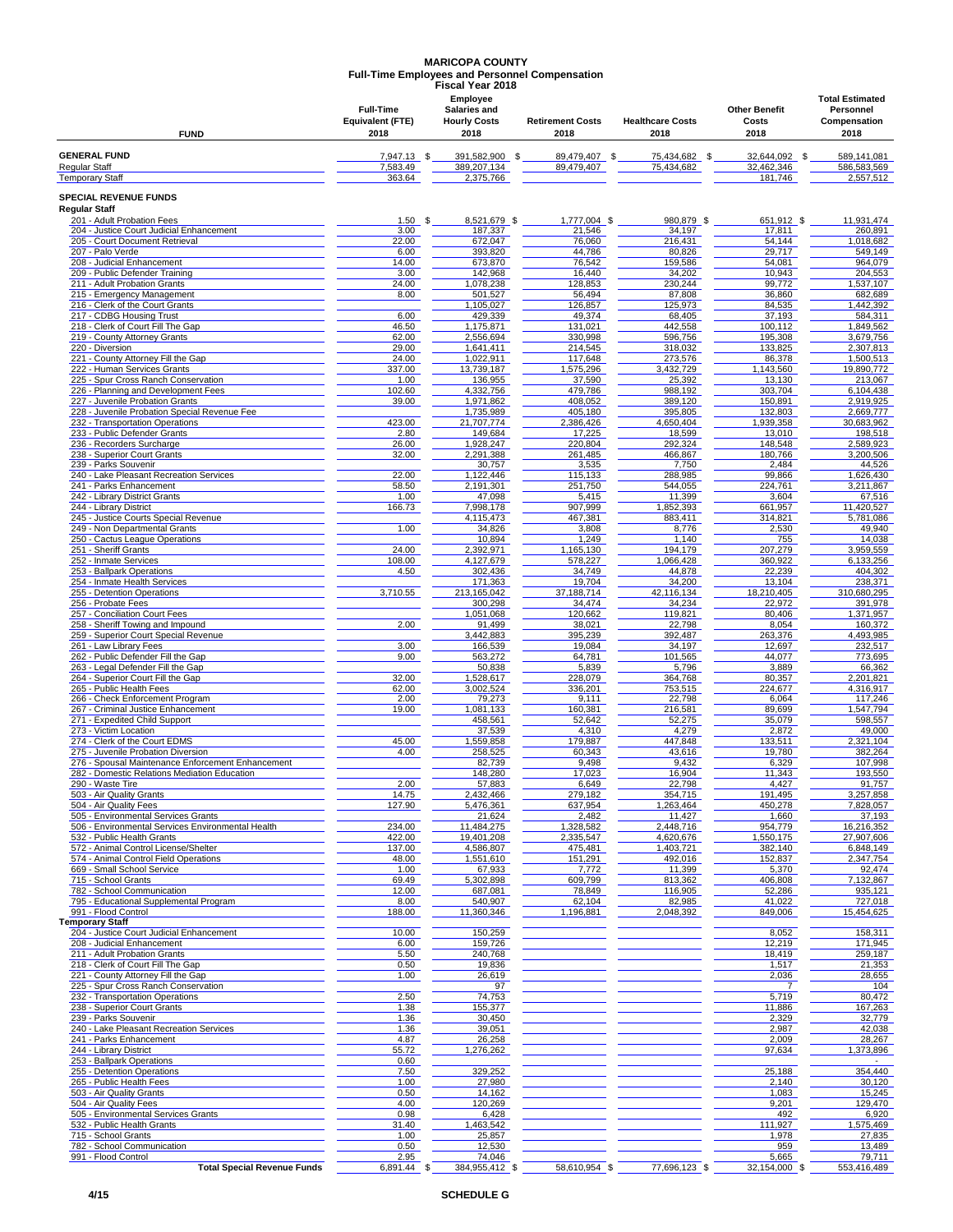# **MARICOPA COUNTY Full-Time Employees and Personnel Compensation Fiscal Year 2018**

|                        | <b>Full-Time</b>        | טו שב ושטעו<br>Employee<br><b>Salaries and</b> |                         |                         | <b>Other Benefit</b> | <b>Total Estimated</b><br>Personnel |
|------------------------|-------------------------|------------------------------------------------|-------------------------|-------------------------|----------------------|-------------------------------------|
|                        | <b>Equivalent (FTE)</b> | <b>Hourly Costs</b>                            | <b>Retirement Costs</b> | <b>Healthcare Costs</b> | Costs                | Compensation                        |
| <b>FUND</b>            | 2018                    | 2018                                           | 2018                    | 2018                    | 2018                 | 2018                                |
| <b>GENERAL FUND</b>    | 7,947.13                | 391,582,900                                    | 89.479.407              | 75.434.682              | 32.644.092           | 589,141,081                         |
| Regular Staff          | 7,583.49                | 389,207,134                                    | 89,479,407              | 75,434,682              | 32,462,346           | 586,583,569                         |
| <b>Temporary Staff</b> | 363.64                  | 2,375,766                                      |                         |                         | 181,746              | 2,557,512                           |

**Regular Staff SPECIAL REVENUE FUNDS**

| 201 - Adult Probation Fees                                             | 1.50           | 8,521,679 \$         | $1.777.004$ \$   | 980,879           | 651,912                 | 11,931,474           |
|------------------------------------------------------------------------|----------------|----------------------|------------------|-------------------|-------------------------|----------------------|
| 204 - Justice Court Judicial Enhancement                               | 3.00           | 187,337              | 21,546           | 34,197            | 17,811                  | 260,891              |
| 205 - Court Document Retrieval                                         | 22.00<br>6.00  | 672,047              | 76,060<br>44,786 | 216,431<br>80,826 | 54,144<br>29,717        | 1,018,682            |
| 207 - Palo Verde<br>208 - Judicial Enhancement                         | 14.00          | 393,820<br>673,870   | 76,542           | 159,586           | 54,081                  | 549,149<br>964,079   |
| 209 - Public Defender Training                                         | 3.00           | 142,968              | 16,440           | 34,202            | 10,943                  | 204.553              |
| 211 - Adult Probation Grants                                           | 24.00          | 1,078,238            | 128,853          | 230,244           | 99,772                  | 1,537,107            |
| 215 - Emergency Management                                             | 8.00           | 501,527              | 56,494           | 87,808            | 36,860                  | 682,689              |
| 216 - Clerk of the Court Grants                                        |                | 1,105,027            | 126,857          | 125,973           | 84,535                  | 1,442,392            |
| 217 - CDBG Housing Trust                                               | 6.00           | 429,339              | 49,374           | 68,405            | 37,193                  | 584,311              |
| 218 - Clerk of Court Fill The Gap                                      | 46.50          | 1,175,871            | 131,021          | 442,558           | 100,112                 | 1,849,562            |
| 219 - County Attorney Grants                                           | 62.00          | 2,556,694            | 330,998          | 596,756           | 195,308                 | 3,679,756            |
| 220 - Diversion                                                        | 29.00          | 1,641,411            | 214,545          | 318,032           | 133,825                 | 2,307,813            |
| 221 - County Attorney Fill the Gap                                     | 24.00          | 1,022,911            | 117,648          | 273,576           | 86,378                  | 1,500,513            |
| 222 - Human Services Grants                                            | 337.00         | 13,739,187           | 1,575,296        | 3,432,729         | 1,143,560               | 19,890,772           |
| 225 - Spur Cross Ranch Conservation                                    | 1.00           | 136,955              | 37,590           | 25,392            | 13,130                  | 213,067              |
| 226 - Planning and Development Fees                                    | 102.60         | 4,332,756            | 479,786          | 988,192           | 303.704                 | 6.104.438            |
| 227 - Juvenile Probation Grants                                        | 39.00          | 1,971,862            | 408,052          | 389,120           | 150,891                 | 2,919,925            |
| 228 - Juvenile Probation Special Revenue Fee                           |                | 1,735,989            | 405,180          | 395,805           | 132.803                 | 2,669,777            |
| 232 - Transportation Operations                                        | 423.00         | 21,707,774           | 2,386,426        | 4,650,404         | 1,939,358               | 30,683,962           |
| 233 - Public Defender Grants                                           | 2.80           | 149,684              | 17,225           | 18,599            | 13,010                  | 198,518              |
| 236 - Recorders Surcharge                                              | 26.00          | 1,928,247            | 220,804          | 292,324           | 148,548                 | 2,589,923            |
| 238 - Superior Court Grants                                            | 32.00          | 2,291,388            | 261,485          | 466,867           | 180,766                 | 3,200,506            |
| 239 - Parks Souvenir                                                   |                | 30,757               | 3,535            | 7,750             | 2,484                   | 44,526               |
| 240 - Lake Pleasant Recreation Services                                | 22.00          | 1,122,446            | 115,133          | 288,985           | 99,866                  | 1,626,430            |
| 241 - Parks Enhancement                                                | 58.50          | 2,191,301            | 251,750          | 544,055           | 224,761                 | 3,211,867            |
| 242 - Library District Grants                                          | 1.00           | 47,098               | 5,415            | 11,399            | 3,604                   | 67,516               |
| 244 - Library District                                                 | 166.73         | 7,998,178            | 907,999          | 1,852,393         | 661,957                 | 11,420,527           |
| 245 - Justice Courts Special Revenue                                   |                | 4,115,473            | 467,381          | 883,411           | 314,821                 | 5,781,086            |
| 249 - Non Departmental Grants                                          | 1.00           | 34,826               | 3,808            | 8,776             | 2,530                   | 49,940               |
| 250 - Cactus League Operations                                         |                | 10,894               | 1,249            | 1,140             | 755                     | 14,038               |
| 251 - Sheriff Grants                                                   | 24.00          | 2,392,971            | 1,165,130        | 194,179           | 207,279                 | 3,959,559            |
| 252 - Inmate Services                                                  | 108.00         | 4,127,679            | 578,227          | 1.066.428         | 360,922                 | 6,133,256            |
| 253 - Ballpark Operations                                              | 4.50           | 302,436              | 34,749           | 44,878            | 22,239                  | 404,302              |
| 254 - Inmate Health Services                                           |                | 171,363              | 19,704           | 34,200            | 13,104                  | 238,371              |
| 255 - Detention Operations                                             | 3,710.55       | 213,165,042          | 37,188,714       | 42,116,134        | 18,210,405              | 310,680,295          |
| 256 - Probate Fees                                                     |                | 300,298              | 34,474           | 34,234            | 22,972                  | 391,978              |
| 257 - Conciliation Court Fees                                          |                | 1,051,068            | 120,662          | 119,821           | 80,406                  | 1,371,957            |
| 258 - Sheriff Towing and Impound                                       | 2.00           | 91,499               | 38,021           | 22,798            | 8,054<br>263.376        | 160,372              |
| 259 - Superior Court Special Revenue<br>261 - Law Library Fees         | 3.00           | 3,442,883<br>166,539 | 395,239          | 392,487           |                         | 4,493,985<br>232,517 |
| 262 - Public Defender Fill the Gap                                     | 9.00           | 563,272              | 19,084<br>64,781 | 34,197<br>101,565 | 12,697<br>44,077        | 773,695              |
| 263 - Legal Defender Fill the Gap                                      |                | 50,838               | 5,839            | 5,796             | 3,889                   | 66,362               |
| 264 - Superior Court Fill the Gap                                      | 32.00          | 1,528,617            | 228,079          | 364,768           | 80,357                  | 2,201,821            |
| 265 - Public Health Fees                                               | 62.00          | 3,002,524            | 336,201          | 753,515           | 224,677                 | 4,316,917            |
| 266 - Check Enforcement Program                                        | 2.00           | 79,273               | 9,111            | 22,798            | 6,064                   | 117,246              |
| 267 - Criminal Justice Enhancement                                     | 19.00          | 1,081,133            | 160,381          | 216,581           | 89,699                  | 1,547,794            |
| 271 - Expedited Child Support                                          |                | 458,561              | 52,642           | 52,275            | 35,079                  | 598,557              |
| 273 - Victim Location                                                  |                | 37,539               | 4,310            | 4,279             | 2,872                   | 49,000               |
| 274 - Clerk of the Court EDMS                                          | 45.00          | 1,559,858            | 179,887          | 447,848           | 133,511                 | 2,321,104            |
| 275 - Juvenile Probation Diversion                                     | 4.00           | 258,525              | 60,343           | 43,616            | 19,780                  | 382,264              |
| 276 - Spousal Maintenance Enforcement Enhancement                      |                | 82,739               | 9,498            | 9,432             | 6,329                   | 107,998              |
| 282 - Domestic Relations Mediation Education                           |                | 148,280              | 17,023           | 16,904            | 11,343                  | 193,550              |
| 290 - Waste Tire                                                       | 2.00           | 57,883               | 6,649            | 22,798            | 4,427                   | 91,757               |
| 503 - Air Quality Grants                                               | 14.75          | 2,432,466            | 279,182          | 354,715           | 191,495                 | 3,257,858            |
| 504 - Air Quality Fees                                                 | 127.90         | 5,476,361            | 637,954          | 1,263,464         | 450,278                 | 7,828,057            |
| 505 - Environmental Services Grants                                    |                | 21,624               | 2,482            | 11,427            | 1,660                   | 37,193               |
| 506 - Environmental Services Environmental Health                      | 234.00         | 11,484,275           | 1,328,582        | 2,448,716         | 954,779                 | 16,216,352           |
| 532 - Public Health Grants                                             | 422.00         | 19,401,208           | 2,335,547        | 4,620,676         | 1,550,175               | 27,907,606           |
| 572 - Animal Control License/Shelter                                   | 137.00         | 4,586,807            | 475,481          | 1,403,721         | 382,140                 | 6,848,149            |
| 574 - Animal Control Field Operations                                  | 48.00          | 1,551,610            | 151,291          | 492,016           | 152,837                 | 2,347,754            |
| 669 - Small School Service                                             | 1.00           | 67,933               | 7,772            | 11,399            | 5,370                   | 92,474               |
| 715 - School Grants                                                    | 69.49          | 5.302.898            | 609,799          | 813,362           | 406,808                 | 7,132,867            |
| 782 - School Communication                                             | 12.00          | 687,081              | 78,849           | 116,905           | 52,286                  | 935,121              |
| 795 - Educational Supplemental Program                                 | 8.00           | 540,907              | 62,104           | 82,985            | 41,022                  | 727.018              |
| 991 - Flood Control                                                    | 188.00         | 11,360,346           | 1,196,881        | 2,048,392         | 849,006                 | 15,454,625           |
| Temporary Staff                                                        |                |                      |                  |                   |                         |                      |
| 204 - Justice Court Judicial Enhancement                               | 10.00          | 150,259              |                  |                   | 8,052                   | 158,311              |
| 208 - Judicial Enhancement                                             | 6.00           | 159,726              |                  |                   | 12,219                  | 171,945              |
| 211 - Adult Probation Grants                                           | 5.50           | 240,768              |                  |                   | 18,419                  | 259,187              |
| 218 - Clerk of Court Fill The Gap                                      | 0.50           | 19,836               |                  |                   | 1,517                   | 21,353               |
| 221 - County Attorney Fill the Gap                                     | 1.00           | 26,619               |                  |                   | 2,036<br>$\overline{7}$ | 28,655<br>104        |
| 225 - Spur Cross Ranch Conservation<br>232 - Transportation Operations | 2.50           | 97<br>74,753         |                  |                   | 5,719                   | 80,472               |
| 238 - Superior Court Grants                                            | 1.38           | 155,377              |                  |                   | 11,886                  | 167,263              |
| 239 - Parks Souvenir                                                   | 1.36           | 30,450               |                  |                   | 2,329                   | 32,779               |
| 240 - Lake Pleasant Recreation Services                                | 1.36           | 39,051               |                  |                   | 2,987                   | 42,038               |
| 241 - Parks Enhancement                                                | 4.87           | 26,258               |                  |                   | 2,009                   | 28,267               |
| 244 - Library District                                                 | 55.72          | 1,276,262            |                  |                   | 97,634                  | 1,373,896            |
| 253 - Ballpark Operations                                              | 0.60           |                      |                  |                   |                         |                      |
| 255 - Detention Operations                                             | 7.50           | 329,252              |                  |                   | 25,188                  | 354,440              |
| 265 - Public Health Fees                                               | 1.00           | 27,980               |                  |                   | 2,140                   | 30,120               |
| 503 - Air Quality Grants                                               | 0.50           | 14,162               |                  |                   | 1,083                   | 15,245               |
| 504 - Air Quality Fees                                                 | 4.00           | 120,269              |                  |                   | 9,201                   | 129,470              |
| 505 - Environmental Services Grants                                    | 0.98           | 6,428                |                  |                   | 492                     | 6,920                |
| 532 - Public Health Grants                                             | 31.40          | 1,463,542            |                  |                   | 111,927                 | 1,575,469            |
| 715 - School Grants                                                    | 1.00           | 25,857               |                  |                   | 1,978                   | 27,835               |
| 782 - School Communication                                             | 0.50           | 12,530               |                  |                   | 959                     | 13,489               |
| 991 - Flood Control                                                    | 2.95           | 74,046               |                  |                   | 5,665                   | 79,711               |
| <b>Total Special Revenue Funds</b>                                     | 6,891.44<br>\$ | 384,955,412 \$       | 58,610,954 \$    | 77,696,123 \$     | 32,154,000 \$           | 553,416,489          |